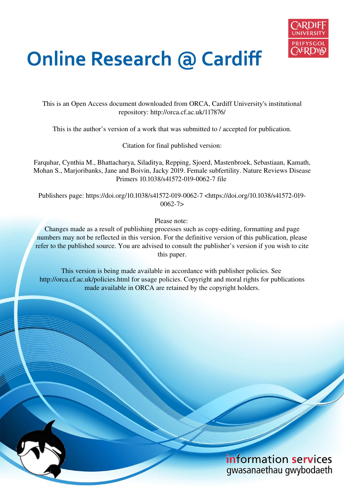

# **Online Research @ Cardiff**

This is an Open Access document downloaded from ORCA, Cardiff University's institutional repository: http://orca.cf.ac.uk/117876/

This is the author's version of a work that was submitted to / accepted for publication.

Citation for final published version:

Farquhar, Cynthia M., Bhattacharya, Siladitya, Repping, Sjoerd, Mastenbroek, Sebastiaan, Kamath, Mohan S., Marjoribanks, Jane and Boivin, Jacky 2019. Female subfertility. Nature Reviews Disease Primers 10.1038/s41572-019-0062-7 file

Publishers page: https://doi.org/10.1038/s41572-019-0062-7 <https://doi.org/10.1038/s41572-019-  $0062 - 7$ 

Please note:

Changes made as a result of publishing processes such as copy-editing, formatting and page numbers may not be reflected in this version. For the definitive version of this publication, please refer to the published source. You are advised to consult the publisher's version if you wish to cite this paper.

This version is being made available in accordance with publisher policies. See http://orca.cf.ac.uk/policies.html for usage policies. Copyright and moral rights for publications made available in ORCA are retained by the copyright holders.

# information services gwasanaethau gwybodaeth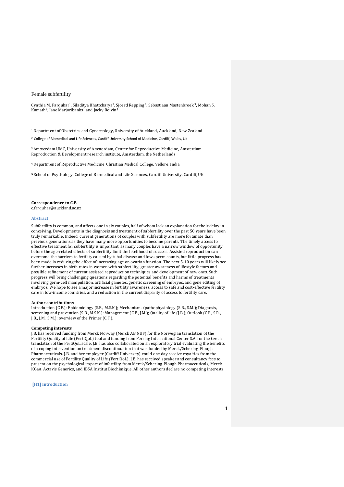# Female subfertility

Cynthia M. Farquhar<sup>1</sup>, Siladitya Bhattcharya<sup>2</sup>, Sjoerd Repping<sup>3</sup>, Sebastiaan Mastenbroek<sup>3</sup>, Mohan S. Kamath<sup>4</sup>, Jane Marjoribanks<sup>1</sup> and Jacky Boivin<sup>5</sup>

<sup>1</sup>Department of Obstetrics and Gynaecology, University of Auckland, Auckland, New Zealand

<sup>2</sup> College of Biomedical and Life Sciences, Cardiff University School of Medicine, Cardiff, Wales, UK

<sup>3</sup>Amsterdam UMC, University of Amsterdam, Center for Reproductive Medicine, Amsterdam Reproduction & Development research institute, Amsterdam, the Netherlands

<sup>4</sup>Department of Reproductive Medicine, Christian Medical College, Vellore, India

**<sup>5</sup>** School of Psychology, College of Biomedical and Life Sciences, Cardiff University, Cardiff, UK

# **Correspondence to C.F.**

c.farquhar@auckland.ac.nz

#### **Abstract**

Subfertility is common, and affects one in six couples, half of whom lack an explanation for their delay in conceiving. Developments in the diagnosis and treatment of subfertility over the past 50 years have been truly remarkable. Indeed, current generations of couples with subfertility are more fortunate than previous generations as they have many more opportunities to become parents. The timely access to effective treatment for subfertility is important, as many couples have a narrow window of opportunity before the age-related effects of subfertility limit the likelihood of success. Assisted reproduction can overcome the barriers to fertility caused by tubal disease and low sperm counts, but little progress has been made in reducing the effect of increasing age on ovarian function. The next 5-10 years will likely see further increases in birth rates in women with subfertility, greater awareness of lifestyle factors and possible refinement of current assisted reproduction techniques and development of new ones. Such progress will bring challenging questions regarding the potential benefits and harms of treatments involving germ-cell manipulation, artificial gametes, genetic screening of embryos, and gene editing of embryos. We hope to see a major increase in fertility awareness, access to safe and cost-effective fertility care in low-income countries, and a reduction in the current disparity of access to fertility care.

#### **Author contributions**

Introduction (C.F.); Epidemiology (S.B., M.S.K.); Mechanisms/pathophysiology (S.R., S.M.); Diagnosis, screening and prevention (S.B., M.S.K.); Management (C.F., J.M.); Quality of life (J.B.); Outlook (C.F., S.R., J.B., J.M., S.M.); overview of the Primer (C.F.).

# **Competing interests**

J.B. has received funding from Merck Norway (Merck AB NUF) for the Norwegian translation of the Fertility Quality of Life (FertiQoL) tool and funding from Ferring International Center S.A. for the Czech translation of the FertiQoL scale. J.B. has also collaborated on an exploratory trial evaluating the benefits of a coping intervention on treatment discontinuation that was funded by Merck/Schering-Plough Pharmaceuticals. J.B. and her employer (Cardiff University) could one day receive royalties from the commercial use of Fertility Quality of Life (FertiQoL). J.B. has received speaker and consultancy fees to present on the psychological impact of infertility from Merck/Schering-Plough Pharmaceuticals, Merck KGaA, Actavis Generics, and IBSA Institut Biochimique. All other authors declare no competing interests.

# **[H1] Introduction**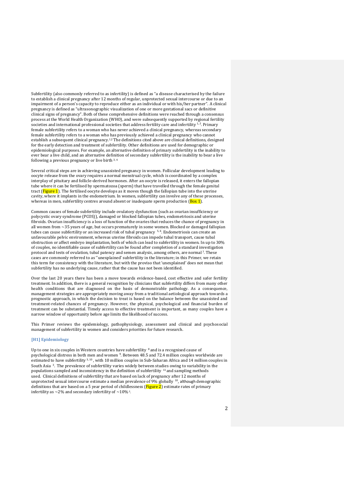Subfertility (also commonly referred to as infertility) is defined as "a disease characterised by the failure to establish a clinical pregnancy after 12 months of regular, unprotected sexual intercourse or due to an impairment of a person's capacity to reproduce either as an individual or with his/her partner". A clinical pregnancy is defined as "ultrasonographic visualization of one or more gestational sacs or definitive clinical signs of pregnancy". Both of these comprehensive definitions were reached through a consensus process at the World Health Organization (WHO), and were subsequently supported by regional fertility societies and international professional societies that address fertility care and infertility  $1, 2$ . Primary female subfertility refers to a woman who has never achieved a clinical pregnancy, whereas secondary female subfertility refers to a woman who has previously achieved a clinical pregnancy who cannot establish a subsequent clinical pregnancy.<sup>1,2</sup> The definitions cited above are clinical definitions, designed for the early detection and treatment of subfertility. Other definitions are used for demographic or epidemiological purposes. For example, an alternative definition of primary subfertility is the inability to ever bear a live child, and an alternative definition of secondary subfertility is the inability to bear a live following a previous pregnancy or live birth 3, 4

Several critical steps are in achieving unassisted pregnancy in women. Follicular development leading to oocyte release from the ovary requires a normal menstrual cycle, which is coordinated by a complex interplay of pituitary and follicle-derived hormones. After an oocyte is released, it enters the fallopian tube where it can be fertilised by spermatozoa (sperm) that have travelled through the female genital tract (Figure 1). The fertilised oocyte develops as it moves though the fallopian tube into the uterine cavity, where it implants in the endometrium. In women, subfertility can involve any of these processes, whereas in men, subfertility centres around absent or inadequate sperm production  $(Box 1)$ .

Common causes of female subfertility include ovulatory dysfunction (such as ovarian insufficiency or polycystic ovary syndrome (PCOS)), damaged or blocked fallopian tubes, endometriosis and uterine fibroids. Ovarian insufficiency is a loss of function of the ovaries that reduces the chance of pregnancy in all women from ~35 years of age, but occurs prematurely in some women. Blocked or damaged fallopian tubes can cause subfertility or an increased risk of tubal pregnancy <sup>5,6</sup>. Endometriosis can create an unfavourable pelvic environment, whereas uterine fibroids can impede tubal transport, cause tubal obstruction or affect embryo implantation, both of which can lead to subfertility in women. In up to 30% of couples, no identifiable cause of subfertility can be found after completion of a standard investigation protocol and tests of ovulation, tubal patency and semen analysis, among others, are normal<sup>7</sup>. These cases are commonly referred to as "unexplained' subfertility in the literature; in this Primer, we retain this term for consistency with the literature, but with the proviso that 'unexplained' does not mean that subfertility has no underlying cause, rather that the cause has not been identified.

Over the last 20 years there has been a move towards evidence-based, cost effective and safer fertility treatment. In addition, there is a general recognition by clinicians that subfertility differs from many other health conditions that are diagnosed on the basis of demonstrable pathology. As a consequence, management strategies are appropriately moving away from a traditional aetiological approach towards a prognostic approach, in which the decision to treat is based on the balance between the unassisted and treatment-related chances of pregnancy. However, the physical, psychological and financial burden of treatment can be substantial. Timely access to effective treatment is important, as many couples have a narrow window of opportunity before age limits the likelihood of success.

This Primer reviews the epidemiology, pathophysiology, assessment and clinical and psychosocial management of subfertility in women and considers priorities for future research.

# **[H1] Epidemiology**

Up to one in six couples in Western countries have subfertility  $\frac{8}{3}$  and is a recognised cause of psychological distress in both men and women <sup>9</sup>. Between 48.5 and 72.4 million couples worldwide are estimated to have subfertility<sup>3, 10</sup>, with 10 million couples in Sub-Saharan Africa and 14 million couples in South Asia 3. The prevalence of subfertility varies widely between studies owing to variability in the populations sampled and inconsistency in the definition of subfertility  $^{11}$  and sampling methods used. Clinical definitions of subfertility that are based on lack of pregnancy after 12 months of unprotected sexual intercourse estimate a median prevalence of 9% globally  $^{10}$ , although demographic definitions that are based on a 5 year period of childlessness  $(Figure 2)$  estimate rates of primary infertility as  $\sim$  2% and secondary infertility of  $\sim$  10% <sup>3</sup>.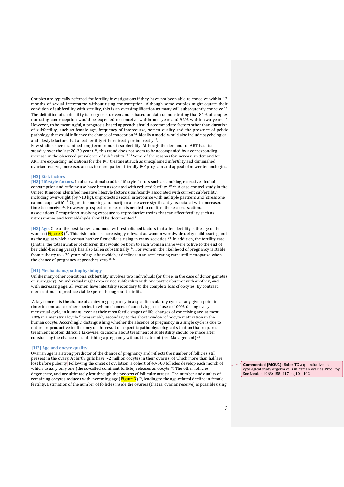Couples are typically referred for fertility investigations if they have not been able to conceive within 12 months of sexual intercourse without using contraception. Although some couples might equate their condition of subfertility with sterility, this is an oversimplification as many will subsequently conceive  $12$ . The definition of subfertility is prognosis-driven and is based on data demonstrating that 84% of couples not using contraception would be expected to conceive within one year and 92% within two years <sup>13</sup>. However, to be meaningful, a prognosis-based approach should accommodate factors other than duration of subfertility, such as female age, frequency of intercourse, semen quality and the presence of pelvic pathology that could influence the chance of conception <sup>14</sup>. Ideally a model would also include psychological and lifestyle factors that affect fertility either directly or indirectly <sup>15</sup> .

Few studies have examined long term trends in subfertility. Although the demand for ART has risen steadily over the last 20-30 years <sup>16</sup>, this trend does not seem to be accompanied by a corresponding increase in the observed prevalence of subfertility 17, 18 Some of the reasons for increase in demand for ART are expanding indications for the IVF treatment such as unexplained infertility and diminished ovarian reserve, increased access to more patient friendly IVF program and appeal of newer technologies.

# **[H2] Risk factors**

**[H3] Lifestyle factors.** In observational studies, lifestyle factors such as smoking, excessive alcohol consumption and caffeine use have been associated with reduced fertility 19, 20. A case-control study in the United Kingdom identified negative lifestyle factors significantly associated with current subfertility, including overweight (by >13 kg), unprotected sexual intercourse with multiple partners and 'stress one cannot cope with' <sup>19</sup>. Cigarette smoking and marijuana use were significantly associated with increased time to conceive <sup>20</sup>. However, prospective research is needed to confirm these cross-sectional associations. Occupations involving exposure to reproductive toxins that can affect fertility such as nitrosamines and formaldehyde should be documented <sup>21</sup>.

**[H3] Age.** One of the best-known and most well-established factors that affect fertility is the age of the woman  $(Figure 3)$ <sup>22</sup>. This risk factor is increasingly relevant as women worldwide delay childbearing and as the age at which a woman has her first child is rising in many societies <sup>23</sup>. In addition, the fertility rate (that is, the total number of children that would be born to each woman if she were to live to the end of her child-bearing years), has also fallen substantially <sup>24</sup>. For women, the likelihood of pregnancy is stable from puberty to ~30 years of age, after which, it declines in an accelerating rate until menopause when the chance of pregnancy approaches zero <sup>25-27</sup>.

# [**H1] Mechanisms/pathophysiology**

Unlike many other conditions, subfertility involves two individuals (or three, in the case of donor gametes or surrogacy). An individual might experience subfertility with one partner but not with another, and with increasing age, all women have infertility secondary to the complete loss of oocytes. By contrast, men continue to produce viable sperm throughout their life.

 A key concept is the chance of achieving pregnancy in a specific ovulatory cycle at any given point in time; in contrast to other species in whom chances of conceiving are close to 100% during every menstrual cycle, in humans, even at their most fertile stages of life, changes of conceiving are, at most,  $30\%$  in a menstrual cycle  $^{28}$  presumably secondary to the short window of oocyte maturation in the human oocyte. Accordingly, distinguishing whether the absence of pregnancy in a single cycle is due to natural reproductive inefficiency or the result of a specific pathophysiological situation that requires treatment is often difficult. Likewise, decisions about treatment of subfertility should be made after considering the chance of establishing a pregnancy without treatment (see Management) <sup>12</sup>

# **[H2] Age and oocyte quality**

Ovarian age is a strong predictor of the chance of pregnancy and reflects the number of follicles still present in the ovary. At birth, girls have ~2 million oocytes in their ovaries, of which more than half are lost before puberty Following the onset of ovulation, a cohort of 40-500 follicles develop each month of which, usually only one (the so-called dominant follicle) releases an oocyte<sup>29</sup>. The other follicles degenerate, and are ultimately lost through the process of follicular atresia. The number and quality of remaining oocytes reduces with increasing age (Figure 3)<sup>25</sup>, leading to the age-related decline in female fertility. Estimation of the number of follicles inside the ovaries (that is, ovarian reserve) is possible using

**Commented [MOU1]:** Baker TG A quantitative and cytological study of germ cells in human ovaries. Proc Roy Soc London 1963: 158: 417, pg 101-102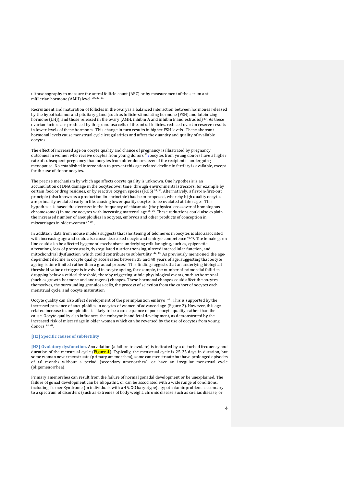ultrasonography to measure the antral follicle count (AFC) or by measurement of the serum antimüllerian hormone (AMH) level <sup>27, 30, 31</sup>.

Recruitment and maturation of follicles in the ovary is a balanced interaction between hormones released by the hypothalamus and pituitary gland (such as follicle-stimulating hormone (FSH) and luteinizing hormone (LH)), and those released in the ovary (AMH, inhibin A and inhibin B and estradiol)<sup>27</sup>. As these ovarian factors are produced by the granulosa cells of the antral follicles, reduced ovarian reserve results in lower levels of these hormones. This change in turn results in higher FSH levels . These aberrant hormonal levels cause menstrual cycle irregularities and affect the quantity and quality of available oocytes.

The effect of increased age on oocyte quality and chance of pregnancy is illustrated by pregnancy outcomes in women who receive oocytes from young donors <sup>32</sup>**;** oocytes from young donors have a higher rate of subsequent pregnancy than oocytes from older donors, even if the recipient is undergoing menopause. No established intervention to prevent this age-related decline in fertility is available, except for the use of donor oocytes.

The precise mechanism by which age affects oocyte quality is unknown. One hypothesis is an accumulation of DNA damage in the oocytes over time, through environmental stressors, for example by certain food or drug residues, or by reactive oxygen species (ROS) 33, 34. Alternatively, a first-in-first-out principle (also known as a production line principle) has been proposed, whereby high quality oocytes are primarily ovulated early in life, causing lower quality oocytes to be ovulated at later ages. This hypothesis is based the decrease in the frequency of chiasmata (the physical crossover of homologous chromosomes) in mouse oocytes with increasing maternal age 35, 36. These reductions could also explain the increased number of aneuploidies in oocytes, embryos and other products of conception in miscarriages in older women 37-39.

In addition, data from mouse models suggests that shortening of telomeres in oocytes is also associated with increasing age and could also cause decreased oocyte and embryo competence <sup>40, 41</sup>. The female germ line could also be affected by general mechanisms underlying cellular aging, such as, epigenetic alterations, loss of proteostasis, dysregulated nutrient sensing, altered intercellular function, and mitochondrial dysfunction, which could contribute to subfertility <sup>42, 43</sup>. As previously mentioned, the agedependent decline in oocyte quality accelerates between 35 and 40 years of age, suggesting that oocyte ageing is time limited rather than a gradual process. This finding suggests that an underlying biological threshold value or trigger is involved in oocyte ageing, for example, the number of primordial follicles dropping below a critical threshold, thereby triggering subtle physiological events, such as hormonal (such as growth hormone and androgens) changes. These hormonal changes could affect the oocytes themselves, the surrounding granulosa cells, the process of selection from the cohort of oocytes each menstrual cycle, and oocyte maturation.

Oocyte quality can also affect development of the preimplantion embryo <sup>44</sup>. This is supported by the increased presence of aneuploidies in oocytes of women of advanced age (Figure 3). However, this agerelated increase in aneuploidies is likely to be a consequence of poor oocyte quality, rather than the cause. Oocyte quality also influences the embryonic and fetal development, as demonstrated by the increased risk of miscarriage in older women which can be reversed by the use of oocytes from young donors 46, 47 .

# **[H2] Specific causes of subfertility**

**[H3] Ovulatory dysfunction.** Anovulation (a failure to ovulate) is indicated by a disturbed frequency and duration of the menstrual cycle (Figure 4). Typically, the menstrual cycle is 25-35 days in duration, but some woman never menstruate (primary amenorrhea), some can menstruate but have prolonged episodes of >6 months without a period (secondary amenorrhea), or have an irregular menstrual cycle (oligomenorrhea).

Primary amenorrhea can result from the failure of normal gonadal development or be unexplained. The failure of gonad development can be idiopathic, or can be associated with a wide range of conditions, including Turner Syndrome (in individuals with a 45, XO karyotype), hypothalamic problems secondary to a spectrum of disorders (such as extremes of body weight, chronic disease such as coeliac disease, or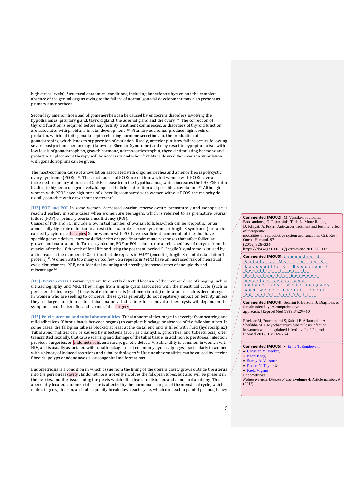high stress levels). Structural anatomical conditions, including imperforate hymen and the complete absence of the genital organs owing to the failure of normal gonadal development may also present as primary amenorrhoea.

Secondary amenorrhoea and oligomenorrhea can be caused by endocrine disorders involving the hypothalamus, pituitary gland, thyroid gland, the adrenal gland and the ovary <sup>48</sup>.The correction of thyroid function is required before any fertility treatment commences, as disorders of thyroid function are associated with problems in fetal development 48. Pituitary adenomas produce high levels of prolactin, which inhibits gonadotropin-releasing hormone secretion and the production of gonadotropins, which leads to suppression of ovulation. Rarely, anterior pituitary failure occurs following severe postpartum haemorrhage (known as Sheehan Syndrome) and may result in hypopituitarism with low levels of gonadotrophins, growth hormone, adrenocorticotrophin, thyroid stimulating hormone and prolactin. Replacement therapy will be necessary and when fertility is desired then ovarian stimulation with gonadotrophins can be given.

The most-common cause of anovulation associated with oligomenorrhea and amenorrhea is polycystic ovary syndrome (PCOS) 49. The exact causes of PCOS are not known, but women with PCOS have an increased frequency of pulses of GnRH release from the hypothalamus, which increases the LH/ FSH ratio leading to higher androgen levels, hampered follicle maturation and possible anovulation 49. Although women with PCOS have high rates of subertility compared with women without PCOS, the majority do usually conceive with or without treatment <sup>50</sup>.

**[H3] POF and POI.** In some women, decreased ovarian reserve occurs prematurely and menopause is reached earlier, in some cases when women are teenagers, which is referred to as premature ovarian failure (POF) or primary ovarian insufficiency (POI).

Causes of POF and POI include a low initial number of ovarian follicles,which can be idiopathic, or an abnormally high rate of follicular atresia (for example, Turner syndrome or fragile X syndrome) or can be caused by cytotoxic therapies. Some women with POI have a sufficient number of follicles but have specific genetic defects, enzyme deficiencies or specific autoimmune responses that affect follicular growth and maturation. In Turner syndrome, POF or POI is due to the accelerated loss of oocytes from the ovaries after the 18th week of fetal life or during the postnatal period <sup>51</sup>. Fragile X syndrome is caused by ovaries after the 18th week of fetal life or during the postnatal period <sup>51</sup>. an increase in the number of CGG trinucleotide repeats in *FMR1* (encoding fragile X mental retardation 1 protein) <sup>52</sup>. Women with too many or too few CGG repeats in *FMR1* have an increased risk of menstrual cycle disturbances, POF, non-identical twinning and possibly increased rates of aneuploidy and miscarriage<sup>52</sup>.

**[H3] Ovarian cysts.** Ovarian cysts are frequently detected because of the increased use of imaging such as ultrasonography and MRI. They range from simple cysts associated with the menstrual cycle (such as persistent follicular cysts) to cysts of endometriosis (endometriomata) or teratomas such as dermoid cysts. In women who are seeking to conceive, these cysts generally do not negatively impact on fertility unless they are large enough to distort tubal anatomy. Indications for removal of these cysts will depend on the symptoms and the benefits and harms of the surgery.

**[H3] Pelvic, uterine and tubal abnormalities.** Tubal abnormalities range in severity from scarring and mild adhesions (fibrous bands between organs) to complete blockage or absence of the fallopian tubes. In some cases, the fallopian tube is blocked at least at the distal end and is filled with fluid (hydrosalpinx). Tubal abnormalities can be caused by infections (such as chlamydia, gonorrhea, and tuberculosis) often transmitted sexually, that cause scarring and damage of the tubal tissue, in addition to peritoneal infection, previous surgeries, or endometriosis, and rarely, genetic defects <sup>53</sup>. Subfertility is common in women with HIV, and is usually associated with tubal blockage (most commonly hydrosalpinges) particularly in women with a history of induced abortions and tubal pathologies <sup>54</sup>. Uterine abnormalities can be caused by uterine fibroids, polyps or adenomyosis, or congenital malformations.

Endometriosis is a condition in which tissue from the lining of the uterine cavity grows outside the uterus into the peritoneal *cavity*. Endometriosis not only involves the fallopian tubes, but also will be present in the ovaries, and the tissue lining the pelvis which often leads to distorted and abnormal anatomy. This aberrantly located endometrial tissue is affected by the hormonal changes of the menstrual cycle, which makes it grow, thicken, and subsequently break down each cycle, which can lead to painful periods, heavy **Commented [MOU2]:** M. Vassilakopoulou, E. Boostandoost, G. Papaxoinis, T. de La Motte Rouge, D. Khayat, A. Psyrri, Anticancer treatment and fertility: effect of therapeutic modalities on reproductive system and functions, Crit. Rev. Oncol. Hematol. 97 (2016) 328–334, https://doi.org/10.1016/j.critrevonc.2015.08.002.

**Commented [MOU3]:** L\_e\_g\_e\_n\_d\_r\_e\_ \_G\_,\_  $\_$ C\_a\_t\_a\_l\_a\_\_L\_,\_\_M\_o\_r\_i\_n\_i\_e\_`\_\_r\_e\_\_C\_,\_  $L$ a\_c\_o\_e\_u\_i\_l\_l\_e\_\_C\_,\_\_B\_o\_u\_s\_s\_i\_o\_n\_\_\_F\_,\_  $S$ \_e\_n\_t\_i\_l\_h\_e\_s\_ \_L\_,\_ \_e\_t\_ \_a\_l.\_  $R_e$  ationship between \_o\_v\_a\_r\_i\_a\_n\_ \_c\_y\_s\_t\_s\_ \_a\_n\_d\_ \_i\_n\_f\_e\_r\_t\_i\_l\_i\_t\_y\_:\_ \_w\_h\_a\_t\_ \_s\_u\_r\_g\_e\_r\_y\_ \_a\_n\_d\_ \_w\_h\_e\_n\_?\_ \_F\_e\_r\_t\_i\_l\_ \_S\_t\_e\_r\_i\_l\_  $2\_0\_1\_4\_j\_1\_0\_1\_(.3\_): 6\_0\_8\_-1\_4$ 

**Commented [MOU4]:** Serafini P, Batzofin J. Diagnosis of female infertility. A comprehensive approach. J Reprod Med 1989;34:29–40.

Eftekhar M, Pourmasumi S, Sabeti P, Aflatoonian A, Sheikhha MH. Mycobacterium tuberculosis infection in women with unexplained infertility. Int J Reprod Biomed 2015; 13: 749-754.

**Commented [MOU5]: •** [Krina T. Zondervan,](https://www.nature.com/articles/s41572-018-0008-5#auth-1)

- [Christian M. Becker,](https://www.nature.com/articles/s41572-018-0008-5#auth-2)
- [Kaori Koga,](https://www.nature.com/articles/s41572-018-0008-5#auth-3)
- Stacey A. Missmer,
- [Robert N. Taylor](https://www.nature.com/articles/s41572-018-0008-5#auth-5) &
- [Paola Viganò](https://www.nature.com/articles/s41572-018-0008-5#auth-6)  Endometriosis

*Nature Reviews Disease Primers***volume 4**, Article number: 9 (2018)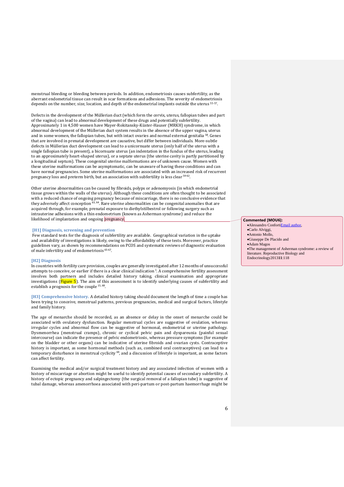menstrual bleeding or bleeding between periods. In addition, endometriosis causes subfertility, as the aberrant endometrial tissue can result in scar formations and adhesions. The severity of endometriosis depends on the number, size, location, and depth of the endometrial implants outside the uterus 55-57.

Defects in the development of the Müllerian duct (which form the cervix, uterus, fallopian tubes and part of the vagina) can lead to abnormal development of these drugs and potentially subfertility. Approximately 1 in 4,500 women have Mayer-Rokitansky-Küster-Hauser (MRKH) syndrome, in which abnormal development of the Müllerian duct system results in the absence of the upper vagina, uterus and in some women, the fallopian tubes, but with intact ovaries and normal external genitalia <sup>58</sup>. Genes that are involved in prenatal development are causative, but differ between individuals. More-subtle defects in Müllerian duct development can lead to a unicornuate uterus (only half of the uterus with a single fallopian tube is present), a bicornuate uterus (an indentation in the fundus of the uterus, leading to an approximately heart-shaped uterus), or a septate uterus (the uterine cavity is partly partitioned by a longitudinal septum). These congenital uterine malformations are of unknown cause. Women with these uterine malformations can be asymptomatic, can be unaware of having these conditions and can have normal pregnancies. Some uterine malformations are associated with an increased risk of recurrent pregnancy loss and preterm birth, but an association with subfertility is less clear <sup>59-62</sup>.

Other uterine abnormalities can be caused by fibroids, polyps or adenomyosis (in which endometrial tissue grows within the walls of the uterus). Although these conditions are often thought to be associated with a reduced chance of ongoing pregnancy because of miscarriage, there is no conclusive evidence that they adversely affect conception <sup>63, 64</sup>. Rare uterine abnormalities can be congenital anomalies that are acquired through, for example, prenatal exposure to diethylstilbestrol or following surgery such as intrauterine adhesions with a thin endometrium (known as Asherman syndrome) and reduce the likelihood of implantation and ongoing pregnancy.

# **[H1] Diagnosis, screening and prevention**

 Few standard tests for the diagnosis of subfertility are available. Geographical variation in the uptake and availability of investigations is likely, owing to the affordability of these tests. Moreover, practice guidelines vary, as shown by recommendations on PCOS and systematic reviews of diagnostic evaluation of male infertility and of endometriosis <sup>65-67</sup>.

#### **[H2] Diagnosis**

In countries with fertility care provision, couples are generally investigated after 12 months of unsuccessful attempts to conceive, or earlier if there is a clear clinical indication<sup>1</sup>. A comprehensive fertility assessment involves both partners and includes detailed history taking, clinical examination and appropriate investigations ( $\frac{Figure 5}{7}$ ). The aim of this assessment is to identify underlying causes of subfertility and establish a prognosis for the couple<sup>15, 68</sup>.

**[H3] Comprehensive history.** A detailed history taking should document the length of time a couple has been trying to conceive, menstrual patterns, previous pregnancies, medical and surgical factors, lifestyle and family history.

The age of menarche should be recorded, as an absence or delay in the onset of menarche could be associated with ovulatory dysfunction. Regular menstrual cycles are suggestive of ovulation, whereas irregular cycles and abnormal flow can be suggestive of hormonal, endometrial or uterine pathology. Dysmenorrhea (menstrual cramps), chronic or cyclical pelvic pain and dyspareunia (painful sexual intercourse) can indicate the presence of pelvic endometriosis, whereas pressure symptoms (for example on the bladder or other organs) can be indicative of uterine fibroids and ovarian cysts. Contraceptive history is important, as some hormonal methods (such as, combined oral contraceptives) can lead to a temporary disturbance in menstrual cyclicity <sup>69</sup>, and a discussion of lifestyle is important, as some factors can affect fertility.

Examining the medical and/or surgical treatment history and any associated infection of women with a history of miscarriage or abortion might be useful to identify potential causes of secondary subfertility. A history of ectopic pregnancy and salpingectomy (the surgical removal of a fallopian tube) is suggestive of tubal damage, whereas amenorrhoea associated with peri-partum or post-partum haemorrhage might be

# **Commented [MOU6]:**

- Alessandro Confort[iEmail author,](mailto:confale@hotmail.it)
- Carlo Alviggi, Antonio Mollo,
- Giuseppe De Placido and
- Adam Magos

6

The management of Asherman syndrome: a review of literature. Reproductive Biology and Endocrinology2013**11**:118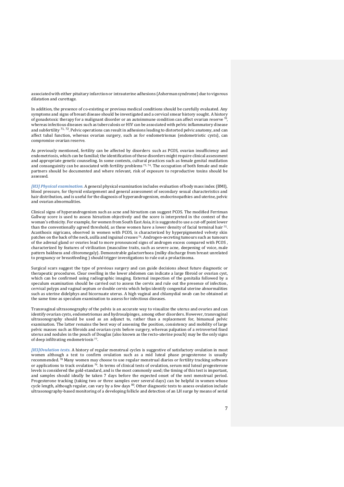associated with either pituitary infarction or intrauterine adhesions (Asherman syndrome) due to vigorous dilatation and curettage.

In addition, the presence of co-existing or previous medical conditions should be carefully evaluated. Any symptoms and signs of breast disease should be investigated and a cervical smear history sought. A history of gonadotoxic therapy for a malignant disorder or an autoimmune condition can affect ovarian reserve  $^{70}$ , whereas infectious diseases such as tuberculosis or HIV can be associated with pelvic inflammatory disease and subfertility <sup>71, 72</sup>. Pelvic operations can result in adhesions leading to distorted pelvic anatomy, and can affect tubal function, whereas ovarian surgery, such as for endometriomas (endometriotic cysts), can compromise ovarian reserve.

As previously mentioned, fertility can be affected by disorders such as PCOS, ovarian insufficiency and endometriosis, which can be familial; the identification of these disorders might require clinical assessment and appropriate genetic counseling. In some contexts, cultural practices such as female genital mutilation and consanguinity can be associated with fertility problems  $73, 74$ . The occupation of both female and male partners should be documented and where relevant, risk of exposure to reproductive toxins should be assessed.

*[H3] Physical examination.* A general physical examination includes evaluation of body mass index (BMI), blood pressure, for thyroid enlargement and general assessment of secondary sexual characteristics and hair distribution, and is useful for the diagnosis of hyperandrogenism, endocrinopathies and uterine, pelvic and ovarian abnormalities.

Clinical signs of hyperandrogenism such as acne and hirsutism can suggest PCOS. The modified Ferriman Gallway score is used to assess hirsutism objectively and the score is interpreted in the context of the woman's ethnicity. For example, for women from South East Asia, it is suggested to use a cut-off point lower than the conventionally agreed threshold, as these women have a lower density of facial terminal hair <sup>75</sup>. Acanthosis nigricans, observed in women with PCOS, is characterized by hyperpigmented velvety skin patches on the back of the neck, axilla and inguinal creases <sup>76</sup>. Androgen-secreting tumours such as tumours of the adrenal gland or ovaries lead to more pronounced signs of androgen excess compared with PCOS , characterized by features of virilization (masculine traits, such as severe acne, deepening of voice, male pattern baldness and clitoromegaly). Demonstrable galactorrhoea (milky discharge from breast unrelated to pregnancy or breastfeeding ) should trigger investigations to rule out a prolactinoma.

Surgical scars suggest the type of previous surgery and can guide decisions about future diagnostic or therapeutic procedures. Clear swelling in the lower abdomen can indicate a large fibroid or ovarian cyst, which can be confirmed using radiographic imaging. External inspection of the genitalia followed by a speculum examination should be carried out to assess the cervix and rule out the presence of infection, cervical polyps and vaginal septum or double cervix which helps identify congenital uterine abnormalities such as uterine didelphys and bicornuate uterus. A high vaginal and chlamydial swab can be obtained at the same time as speculum examination to assess for infectious diseases.

Transvaginal ultrasonography of the pelvis is an accurate way to visualize the uterus and ovaries and can identify ovarian cysts, endometriomas and hydrosalpinges, among other disorders. However, transvaginal ultrasonography should be used as an adjunct to, rather than a replacement for, bimanual pelvic examination. The latter remains the best way of assessing the position, consistency and mobility of large pelvic masses such as fibroids and ovarian cysts before surgery, whereas palpation of a retroverted fixed uterus and nodules in the pouch of Douglas (also known as the recto-uterine pouch) may be the only signs of deep infiltrating endometriosis <sup>77</sup>.

*[H3]Ovulation tests.* A history of regular menstrual cycles is suggestive of satisfactory ovulation in most women although a test to confirm ovulation such as a mid luteal phase progesterone is usually recommended. <sup>78</sup> Many women may choose to use regular menstrual diaries or fertility tracking software or applications to track ovulation <sup>79</sup>. In terms of clinical tests of ovulation, serum mid luteal progesterone levels is considered the gold-standard, and is the most commonly used; the timing of this test is important, and samples should ideally be taken 7 days before the expected onset of the next menstrual period. Progesterone tracking (taking two or three samples over several days) can be helpful in women whose cycle length, although regular, can vary by a few days <sup>80</sup>. Other diagnostic tests to assess ovulation include ultrasonography-based monitoring of a developing follicle and detection of an LH surge by means of serial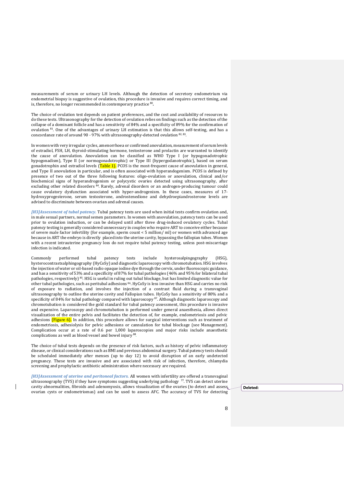measurements of serum or urinary LH levels. Although the detection of secretory endometrium via endometrial biopsy is suggestive of ovulation, this procedure is invasive and requires correct timing, and is, therefore, no longer recommended in contemporary practice <sup>80</sup> **.**

The choice of ovulation test depends on patient preferences, and the cost and availability of resources to do these tests. Ultrasonography for the detection of ovulation relies on findings such as the detection of the collapse of a dominant follicle and has a sensitivity of 84% and a specificity of 89% for the confirmation of ovulation <sup>81</sup>. One of the advantages of urinary LH estimation is that this allows self-testing, and has a concordance rate of around 90 - 97% with ultrasonography-detected ovulation <sup>82, 83</sup>.

In women with very irregular cycles, amenorrhoea or confirmed anovulation, measurement of serum levels of estradiol, FSH, LH, thyroid-stimulating hormone, testosterone and prolactin are warranted to identify the cause of anovulation. Anovulation can be classified as WHO Type I (or hypogonadotrophic hypogonadism), Type II (or normogonadotrophic) or Type III (hypergodanotrophic), based on serum gonadotrophin and estradiol levels (Table 1). PCOS is the most-frequent cause of anovulation in general, and Type II anovulation in particular, and is often associated with hyperandogenism. PCOS is defined by presence of two out of the three following features: oligo-ovulation or anovulation, clinical and/or biochemical signs of hyperandrogenism or polycystic ovaries detected using ultrasonography, after excluding other related disorders <sup>84</sup>. Rarely, adrenal disorders or an androgen-producing tumour could cause ovulatory dysfunction associated with hyper-androgenism. In these cases, measures of 17 hydroxyprogesterone, serum testosterone, androstenedione and dehydroepiandrosterone levels are advised to discriminate between ovarian and adrenal causes.

*[H3]Assessment of tubal patency.* Tubal patency tests are used when initial tests confirm ovulation and, in male sexual partners, normal semen parameters. In women with anovulation, patency tests can be used prior to ovulation induction, or can be delayed until after three drug-induced ovulatory cycles. Tubal patency testing is generally considered unnecessary in couples who require ART to conceive either because of severe male factor infertility (for example, sperm count < 5 million/ ml) or women with advanced age because in ART the embryo is directly placed into the uterine cavity, bypassing the fallopian tubes. Women with a recent intrauterine pregnancy loss do not require tubal patency testing, unless post-miscarriage infection is indicated.

Commonly performed tubal patency tests include hysterosalpingography (HSG), hysterocontrastsalphingography (HyCoSy) and diagnostic laparoscopy with chromotubation. HSG involves the injection of water or oil-based radio opaque iodine dye through the cervix, under fluoroscopic guidance, and has a sensitivity of 53% and a specificity of 87% for tubal pathologies (46% and 95% for bilateral tubal pathologies, respectively) <sup>85</sup>. HSG is useful in ruling out tubal blockage, but has limited diagnostic value for other tubal pathologies, such as peritubal adhesions <sup>86</sup>. HyCoSy is less invasive than HSG and carries no risk of exposure to radiation, and involves the injection of a contrast fluid during a transvaginal ultrasonography to outline the uterine cavity and Fallopian tubes. HyCoSy has a sensitivity of 80% and a specificity of 84% for tubal pathology compared with laparoscopy <sup>87</sup>. Although diagnostic laparoscopy and chromotubation is considered the gold standard for tubal patency assessment, this procedure is invasive and expensive. Laparoscopy and chromotubation is performed under general anaesthesia, allows direct visualization of the entire pelvis and facilitates the detection of, for example, endometriosis and pelvic adhesions (Figure 6). In addition, this procedure allows for surgical interventions such as treatment of endometriosis, adhesiolysis for pelvic adhesions or cannulation for tubal blockage (see Management). Complication occur at a rate of 0.6 per 1,000 laparoscopies and major risks include anaesthetic complications as well as blood vessel and bowel injury <sup>88</sup> .

The choice of tubal tests depends on the presence of risk factors, such as history of pelvic inflammatory disease, or clinical considerations such as BMI and previous abdominal surgery. Tubal patency tests should be scheduled immediately after menses (up to day 12) to avoid disruption of an early undetected pregnancy. These tests are invasive and are associated with risk of infection, therefore, chlamydia screening and prophylactic antibiotic administration where necessary are required.

*[H3]Assessment of uterine and peritoneal factors.* All women with infertility are offered a transvaginal ultrasonography (TVS) if they have symptoms suggesting underlying pathology<sup>77</sup>. TVS can detect uterine cavity abnormalities, fibroids and adenomyosis, allows visualization of the ovaries (to detect and assess ovarian cysts or endometriomas) and can be used to assess AFC. The accuracy of TVS for detecting

**Deleted:**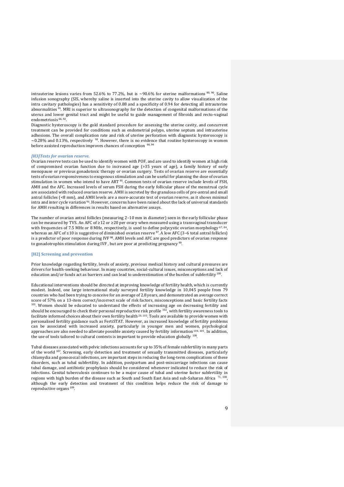intrauterine lesions varies from 52.6% to 77.2%, but is  $\sim$ 90.6% for uterine malformations  $^{89,90}$ . Saline infusion sonography (SIS, whereby saline is inserted into the uterine cavity to allow visualization of the intra cavitary pathologies) has a sensitivity of 0.88 and a specificity of 0.94 for detecting all intrauterine abnormalities <sup>91</sup>. MRI is superior to ultrasonography for the detection of congenital malformations of the uterus and lower genital tract and might be useful to guide management of fibroids and recto-vaginal endometriosis<sup>66, 9</sup> .

Diagnostic hysteroscopy is the gold standard procedure for assessing the uterine cavity, and concurrent treatment can be provided for conditions such as endometrial polyps, uterine septum and intrauterine adhesions. The overall complication rate and risk of uterine perforation with diagnostic hysteroscopy is  $\sim$ 0.28% and 0.13%, respectively <sup>93</sup>. However, there is no evidence that routine hysteroscopy in women before assisted reproduction improves chances of conception <sup>64, 94</sup>

#### *[H3]Tests for ovarian reserve.*

Ovarian reserve tests can be used to identify women with POF, and are used to identify women at high risk of compromised ovarian function due to increased age (>35 years of age), a family history of early menopause or previous gonadotoxic therapy or ovarian surgery. Tests of ovarian reserve are essentially tests of ovarian responsiveness to exogenous stimulation and can be useful for planning the dose of ovarian stimulation in women who intend to have ART <sup>95</sup>. Common tests of ovarian reserve include levels of FSH, AMH and the AFC. Increased levels of serum FSH during the early follicular phase of the menstrual cycle are associated with reduced ovarian reserve. AMH is secreted by the granulosa cells of pre-antral and small antral follicles (<8 mm), and AMH levels are a more-accurate test of ovarian reserve, as it shows minimal intra and inter cycle variation <sup>96</sup>. However, concerns have been raised about the lack of universal standards for AMH resulting in differences in results based on alternative assays.

The number of ovarian antral follicles (measuring 2–10 mm in diameter) seen in the early follicular phase can be measured by TVS. An AFC of  $\geq$ 12 or  $\geq$ 20 per ovary when measured using a transvaginal transducer with frequencies of 7.5 MHz or 8 MHz, respectively, is used to define polycystic ovarian morphology <sup>67, 84</sup>, whereas an AFC of ≤10 is suggestive of diminished ovarian reserve <sup>97</sup>. A low AFC (3–6 total antral follicles) is a predictor of poor response during IVF <sup>98</sup>. AMH levels and AFC are good predictors of ovarian response to gonadotrophin stimulation during IVF, but are poor at predicting pregnancy<sup>99</sup>.

#### **[H2] Screening and prevention**

Prior knowledge regarding fertility, levels of anxiety, previous medical history and cultural pressures are drivers for health-seeking behaviour. In many countries, social-cultural issues, misconceptions and lack of education and/or funds act as barriers and can lead to underestimation of the burden of subfertility <sup>100</sup>.

Educational interventions should be directed at improving knowledge of fertility health, which is currently modest. Indeed, one large international study surveyed fertility knowledge in 10,045 people from 79 countries who had been trying to conceive for an average of 2.8 years, and demonstrated an average correct score of 57% on a 13-item correct/incorrect scale of risk factors, misconceptions and basic fertility facts <sup>101</sup>. Women should be educated to understand the effects of increasing age on decreasing fertility and should be encouraged to check their personal reproductive risk profile  $^{102}$ , with fertility awareness tools to facilitate informed choices about their own fertility health 20, 103. Tools are available to provide women with personalised fertility guidance such as FertiSTAT. However, as increased knowledge of fertility problems can be associated with increased anxiety, particularly in younger men and women, psychological approaches are also needed to alleviate possible anxiety caused by fertility information 104, 105. In addition, the use of tools tailored to cultural contexts is important to provide education globally <sup>106</sup>.

Tubal diseases associated with pelvic infections accounts for up to 35% of female subfertility in many parts of the world<sup>107</sup>. Screening, early detection and treatment of sexually transmitted diseases, particularly chlamydia and gonococcal infections, are important steps in reducing the long-term complications of these disorders, such as tubal subfertility. In addition, postpartum and post-miscarriage infections can cause tubal damage, and antibiotic prophylaxis should be considered whenever indicated to reduce the risk of infections. Genital tuberculosis continues to be a major cause of tubal and uterine factor subfertility in regions with high burden of the disease such as South and South East Asia and sub-Saharan Africa <sup>71, 108</sup>, although the early detection and treatment of this condition helps reduce the risk of damage to reproductive organs<sup>109</sup>.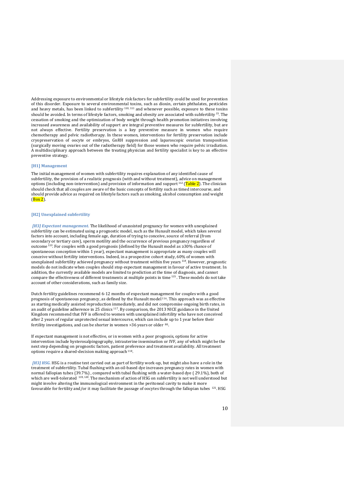Addressing exposure to environmental or lifestyle risk factors for subfertility could be used for prevention of this disorder. Exposure to several environmental toxins, such as dioxin, certain phthalates, pesticides and heavy metals, has been linked to subfertility 110, 111 and whenever possible, exposure to these toxins should be avoided. In terms of lifestyle factors, smoking and obesity are associated with subfertility <sup>15</sup> . The cessation of smoking and the optimization of body weight through health promotion initiatives involving increased awareness and availability of support are integral preventive measures for subfertility, but are not always effective. Fertility preservation is a key preventive measure in women who require chemotherapy and pelvic radiotherapy. In these women, interventions for fertility preservation include cryopreservation of oocyte or embryos, GnRH suppression and laparoscopic ovarian transposition (surgically moving ovaries out of the radiotherapy field) for those women who require pelvic irradiation. A multidisciplinary approach between the treating physician and fertility specialist is key to an effective preventive strategy.

#### **[H1] Management**

The initial management of women with subfertility requires explanation of any identified cause of subfertility, the provision of a realistic prognosis (with and without treatment), advice on management options (including non-intervention) and provision of information and support  $^{112}$  (Table 2). The clinician should check that all couples are aware of the basic concepts of fertility such as timed intercourse, and should provide advice as required on lifestyle factors such as smoking, alcohol consumption and weight  $(Box 2)$ .

# **[H2] Unexplained subfertility**

 *[H3] Expectant management.* The likelihood of unassisted pregnancy for women with unexplained subfertility can be estimated using a prognostic model, such as the Hunault model, which takes several factors into account, including female age, duration of trying to conceive, source of referral (from secondary or tertiary care), sperm motility and the occurrence of previous pregnancy regardless of outcome <sup>113</sup>. For couples with a good prognosis (defined by the Hunault model as ≥30% chance of spontaneous conception within 1 year), expectant management is appropriate as many couples will conceive without fertility interventions. Indeed, in a prospective cohort study, 60% of women with unexplained subfertility achieved pregnancy without treatment within five years 114 . However, prognostic models do not indicate when couples should stop expectant management in favour of active treatment. In addition, the currently available models are limited to prediction at the time of diagnosis, and cannot compare the effectiveness of different treatments at multiple points in time<sup>115</sup>. These models do not take account of other considerations, such as family size.

Dutch fertility guidelines recommend 6-12 months of expectant management for couples with a good prognosis of spontaneous pregnancy, as defined by the Hunault model <sup>116</sup>. This approach was as effective as starting medically assisted reproduction immediately, and did not compromise ongoing birth rates, in an audit of guideline adherence in 25 clinics <sup>117</sup>. By comparison, the 2013 NICE guidance in the United Kingdom recommend that IVF is offered to women with unexplained infertility who have not conceived after 2 years of regular unprotected sexual intercourse, which can include up to 1 year before their fertility investigations, and can be shorter in women >36 years or older  $80$ .

If expectant management is not effective, or in women with a poor prognosis, options for active intervention include hysterosalpingography, intrauterine insemination or IVF, any of which might be the next step depending on prognostic factors, patient preference and treatment availability. All treatment options require a shared-decision making approach <sup>118</sup>.

 *[H3] HSG.* HSG is a routine test carried out as part of fertility work-up, but might also have a role in the treatment of subfertility. Tubal flushing with an oil-based dye increases pregnancy rates in women with normal fallopian tubes (39.7%) , compared with tubal flushing with a water-based dye ( 29.1%), both of which are well-tolerated <sup>119, 120</sup>. The mechanism of action of HSG on subfertility is not well understood but might involve altering the immunological environment in the peritoneal cavity to make it more favourable for fertility and/or it may facilitate the passage of oocytes through the fallopian tubes <sup>121</sup>. HSG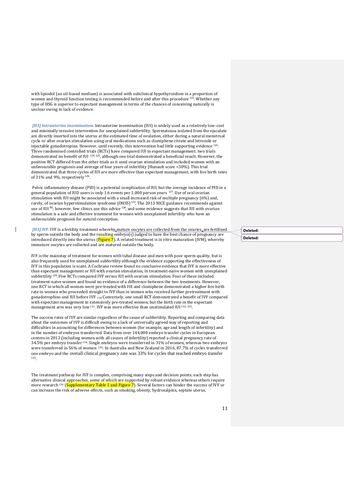with lipiodol (an oil-based medium) is associated with subclinical hypothyroidism in a proportion of women and thyroid function testing is recommended before and after this procedure <sup>122</sup>. Whether any type of HSG is superior to expectant management in terms of the chances of conceiving naturally is unclear owing to lack of evidence.

 *[H3] Intrauterine insemination.* Intrauterine insemination (IUI) is widely used as a relatively low-cost and minimally invasive intervention for unexplained subfertility. Spermatozoa isolated from the ejaculate are directly inserted into the uterus at the estimated time of ovulation, either during a natural menstrual cycle or after ovarian stimulation using oral medications such as clomiphene citrate and letrozole or injectable gonadotropins. However, until recently, this intervention had little supporting evidence  $^{123}$ . Three randomised controlled trials (RCTs) have compared IUI to expectant management; two trials demonstrated no benefit of IUI 124, 125, although one trial demonstrated a beneficial result. However, the positive RCT differed from the other trials as it used ovarian stimulation and included women with an unfavourable prognosis and average of four years of infertility (Hunault score <30%). This trial demonstrated that three cycles of IUI are more effective than expectant management, with live birth rates of  $31\%$  and 9%, respectively  $^{126}$ .

 Pelvic inflammatory disease (PID) is a potential complication of IUI, but the average incidence of PID in a general population of IUD users is only 1.6 events per 1,000 person years <sup>127</sup>. Use of oral ovarian stimulation with IUI might be associated with a small increased risk of multiple pregnancy (6%) and, rarely, of ovarian hyperstimulation syndrome (OHSS) <sup>123</sup>. The 2013 NICE guidance recommends against use of IUI<sup>80</sup>; however, few clinics use this advice<sup>128</sup>, and some evidence suggests that IUI with ovarian stimulation is a safe and effective treatment for women with unexplained infertility who have an unfavourable prognosis for natural conception.

*[H3] IVF. IVF* is a fertility treatment whereby mature oocytes are collected from the ovaries are fertilized by sperm outside the body and the resulting embryo(s) judged to have the best chance of pregnancy are introduced directly into the uterus  $(Figure 7)$ . A related treatment is in vitro maturation (IVM), whereby immature oocytes are collected and are matured outside the body.

 $\mathsf{l}$ 

IVF is the mainstay of treatment for women with tubal disease and men with poor sperm quality, but is also frequently used for unexplained subfertility although the evidence supporting the effectiveness of IVF in this population is scant. A Cochrane review found no conclusive evidence that IVF is more effective than expectant management or IUI with ovarian stimulation, in treatment-naive women with unexplained subfertility<sup>129</sup>. Five RCTs compared IVF versus IUI with ovarian stimulation. Four of these included treatment-naive women and found no evidence of a difference between the two treatments. However, one RCT in which all women were pre-treated with IUI and clomiphene demonstrated a higher live birth rate in women who proceeded straight to IVF than in women who received further pretreatment with gonadotrophins and IUI before IVF .130 Conversely, one small RCT demonstrated a benefit of IVF compared with expectant management in extensively pre-treated women, but the birth rate in the expectant management arm was very low <sup>131</sup>. IVF was more effective than unstimulated IUI 132, 133.

The success rates of IVF are similar regardless of the cause of subfertility. Reporting and comparing data about the outcomes of IVF is difficult owing to a lack of universally agreed way of reporting and difficulties in accounting for differences between women (for example, age and length of infertility) and in the number of embryos transferred. Data from over 144,000 embryo transfer cycles in European centres in 2013 (including women with all causes of infertility) reported a clinical pregnancy rate of 34.5% per embryo transfer <sup>134</sup>. Single embryos were transferred in 31% of women, whereas two embryos were transferred in 56% of women 134. In Australia and New Zealand in 2016, 87.7% of cycles transferred one embryo and the overall clinical pregnancy rate was 33% for cycles that reached embryo transfer <sup>135</sup>.

The treatment pathway for IVF is complex, comprising many steps and decision points; each step has alternative clinical approaches, some of which are supported by robust evidence whereas others require more research <sup>136</sup> (Supplementary Table 1 and Figure 7). Several factors can hinder the success of IVF or can increase the risk of adverse effects, such as smoking, obesity, hydrosalpinx, septate uterus,

**Deleted: Deleted:**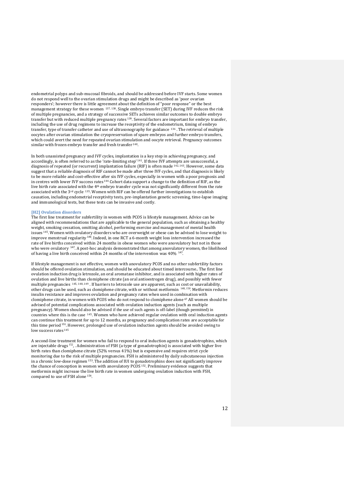endometrial polyps and sub-mucosal fibroids, and should be addressed before IVF starts. Some women do not respond well to the ovarian stimulation drugs and might be described as 'poor ovarian responders'; however there is little agreement about the definition of "poor response" or the best management strategy for these women 137, 138. Single embryo transfer (SET) during IVF reduces the risk of multiple pregnancies, and a strategy of successive SETs achieves similar outcomes to double embryo transfer but with reduced multiple pregnancy rates <sup>139</sup>. Several factors are important for embryo transfer, including the use of drug regimens to increase the receptivity of the endometrium, timing of embryo transfer, type of transfer catheter and use of ultrasonography for guidance <sup>136</sup> . The retrieval of multiple oocytes after ovarian stimulation the cryopreservation of spare embryos and further embryo transfers, which could avert the need for repeated ovarian stimulation and oocyte retrieval. Pregnancy outcomes similar with frozen embryo transfer and fresh transfer <sup>140</sup>.

In both unassisted pregnancy and IVF cycles, implantation is a key step in achieving pregnancy, and accordingly, is often referred to as the 'rate-limiting step' 141. If three IVF attempts are unsuccessful, a diagnosis of repeated (or recurrent) implantation failure (RIF) is often made 142, 143. However, some data suggest that a reliable diagnosis of RIF cannot be made after three IVF cycles, and that diagnosis is likely to be more reliable and cost-effective after six IVF cycles, especially in women with a poor prognosis and in centres with lower IVF success rates <sup>144</sup> Cohort data support a change to the definition of RIF, as the live birth rate associated with the 4th embryo transfer cycle was not significantly different from the rate associated with the  $3<sup>rd</sup>$  cycle  $135$ . Women with RIF can be offered further investigations to establish causation, including endometrial receptivity tests, pre-implantation genetic screening, time-lapse imaging and immunological tests, but these tests can be invasive and costly.

# **[H2] Ovulation disorders**

The first line treatment for subfertility in women with PCOS is lifestyle management. Advice can be aligned with recommendations that are applicable to the general population, such as obtaining a healthy weight, smoking cessation, omitting alcohol, performing exercise and management of mental health issues <sup>145</sup>. Women with ovulatory disorders who are overweight or obese can be advised to lose weight to improve menstrual regularity <sup>146</sup> . Indeed, in one RCT a 6-month weight loss intervention increased the rate of live births conceived within 24 months in obese women who were anovulatory but not in those who were ovulatory <sup>147</sup>. A post-hoc analysis demonstrated that among anovulatory women, the likelihood of having a live birth conceived within 24 months of the intervention was 40% <sup>147</sup>.

If lifestyle management is not effective, women with anovulatory PCOS and no other subfertility factors should be offered ovulation stimulation, and should be educated about timed intercourse.. The first line ovulation induction drug is letrozole, an oral aromatase inhibitor, and is associated with higher rates of ovulation and live births than clomiphene citrate (an oral antioestrogen drug), and possibly with fewer multiple pregnancies 145, 148, 149 . If barriers to letrozole use are apparent, such as cost or unavailability, other drugs can be used, such as clomiphene citrate, with or without metformin <sup>148, 150</sup>. Metformin reduces insulin resistance and improves ovulation and pregnancy rates when used in combination with clomiphene citrate, in women with PCOS who do not respond to clomiphene alone <sup>67</sup> All women should be advised of potential complications associated with ovulation induction agents (such as multiple pregnancy). Women should also be advised if the use of such agents is off-label (though permitted) in countries where this is the case 145. Women who have achieved regular ovulation with oral induction agents can continue this treatment for up to 12 months, as pregnancy and complication rates are acceptable for this time period<sup>151</sup>. However, prolonged use of ovulation induction agents should be avoided owing to low success rates <sup>145</sup>

A second-line treatment for women who fail to respond to oral induction agents is gonadotrophins, which are injectable drugs <sup>152</sup>, . Administration of FSH (a type of gonadotrophin) is associated with higher live birth rates than clomiphene citrate (52% versus 41%) but is expensive and requires strict cycle monitoring due to the risk of multiple pregnancies. FSH is administered by daily subcutaneous injection in a chronic low-dose regimen <sup>153</sup>. The addition of IUI to gonadotrophins does not significantly improve the chance of conception in women with anovulatory PCOS 152. Preliminary evidence suggests that metformin might increase the live birth rate in women undergoing ovulation induction with FSH, compared to use of FSH alone <sup>154</sup>.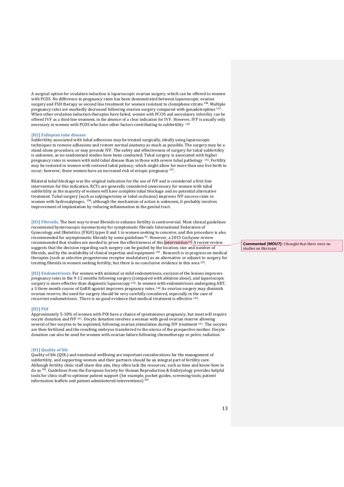A surgical option for ovulation induction is laparoscopic ovarian surgery, which can be offered to women with PCOS. No difference in pregnancy rates has been demonstrated between laparoscopic ovarian surgery and FSH therapy as second line treatment for women resistant to clomiphene citrate<sup>148</sup>. Multiple pregnancy rates are markedly decreased following ovarian surgery compared with gonadotrophins 155 . When other ovulation induction therapies have failed, women with PCOS and anovulatory infertility can be offered IVF as a third-line treatment, in the absence of a clear indication for IVF. However, IVF is usually only necessary in women with PCOS who have other factors contributing to subfertility <sup>145</sup>

# **[H2] Fallopian tube disease**

Subfertility associated with tubal adhesions may be treated surgically, ideally using laparoscopic techniques to remove adhesions and restore normal anatomy as much as possible. The surgery may be a stand-alone procedure, or may precede IVF. The safety and effectiveness of surgery for tubal subfertility is unknown, as no randomized studies have been conducted. Tubal surgery is associated with higher pregnancy rates in women with mild tubal disease than in those with severe tubal pathology 156. Fertility may be restored in women with restored tubal patency, which might allow for more than one live birth to occur; however, these women have an increased risk of ectopic pregnancy <sup>157</sup>.

Bilateral tubal blockage was the original indication for the use of IVF and is considered a first-line intervention for this indication. RCTs are generally considered unnecessary for women with tubal subfertility as the majority of women will have complete tubal blockage and no potential alternative treatment. Tubal surgery (such as salpingectomy or tubal occlusion) improves IVF success rates in women with hydrosalpinges, <sup>158</sup>; although the mechanism of action is unknown, it probably involves improvement of implantation by reducing inflammation in the genital tract.

**[H3] Fibroids.** The best way to treat fibroids to enhance fertility is controversial. Most clinical guidelines recommend hysteroscopic myomectomy for symptomatic fibroids International Federation of Gynecology and Obstetrics (FIGO) types 0 and 1 in women seeking to conceive, and this procedure is also recommended for asymptomatic fibroids by some guidelines <sup>92</sup>. However, a 2015 Cochrane review recommended that studies are needed to prove the effectiveness of this intervention 63. A recent review suggests that the decision regarding such surgery can be guided by the location, size and number of fibroids, and by the availability of clinical expertise and equipment  $159$ . Research is in progress on medical therapies (such as selective progesterone receptor modulators) as an alternative or adjunct to surgery for treating fibroids in women seeking fertility, but there is no conclusive evidence in this area <sup>159</sup>.

**[H3] Endometriosis.** For women with minimal or mild endometriosis, excision of the lesions improves pregnancy rates in the 9-12 months following surgery (compared with ablation alone), and laparoscopic surgery is more effective than diagnostic laparoscopy <sup>160</sup>. In women with endometriosis undergoing ART, a 3 three month course of GnRH agonist improves pregnancy rates. <sup>160</sup> As ovarian surgery may diminish ovarian reserve, the need for surgery should be very carefully considered, especially in the case of recurrent endometriosis . There is no good evidence that medical treatment is effective <sup>160</sup>.

#### **[H2] POI**

Approximately 5-10% of women with POI have a chance of spontaneous pregnancy, but most will require oocyte donation and IVF <sup>161</sup>. Oocyte donation involves a woman with good ovarian reserve allowing several of her oocytes to be aspirated, following ovarian stimulation during IVF treatment 161. The oocytes are then fertilized and the resulting embryos transferred to the uterus of the prospective mother. Oocyte donation can also be used for women with ovarian failure following chemotherapy or pelvic radiation.

#### [**H1] Quality of life**

Quality of life (QOL) and emotional wellbeing are important considerations for the management of subfertility, and supporting women and their partners should be an integral part of fertility care. Although fertility clinic staff share this aim, they often lack the resources, such as time and know-how to  $d$ o so<sup>1</sup>  $\frac{1}{2}$ . Guidelines from the European Society for Human Reproduction & Embryology provides helpful tools for clinic staff to optimise patient support (for example, pocket guides, screening tools, patient information leaflets and patient administered interventions) <sup>163</sup> .

**Commented [MOU7]:** I thought that there were no studies on this topic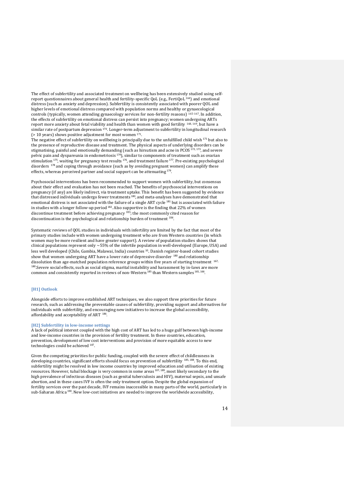The effect of subfertility and associated treatment on wellbeing has been extensively studied using selfreport questionnaires about general health and fertility-specific QoL (e.g., FertiQoL <sup>164</sup>) and emotional distress (such as anxiety and depression). Subfertility is consistently associated with poorer QOL and higher levels of emotional distress compared with population norms and healthy or gynaecological controls (typically, women attending gynaecology services for non-fertility reasons) 165-167. In addition, the effects of subfertility on emotional distress can persist into pregnancy; women undergoing ARTs report more anxiety about fetal viability and health than women with good fertility 168, 169, but have a similar rate of postpartum depression <sup>170</sup>. Longer-term adjustment to subfertility in longitudinal research (> 10 years) shows positive adjustment for most women <sup>171</sup>.

The negative effect of subfertility on wellbeing is principally due to the unfulfilled child wish <sup>171</sup> but also to the presence of reproductive disease and treatment. The physical aspects of underlying disorders can be stigmatising, painful and emotionally demanding (such as hirsutism and acne in PCOS<sup>172, 173</sup>, and severe pelvic pain and dyspareunia in endometriosis<sup>174</sup>), similar to components of treatment such as ovarian stimulation  $175$ , waiting for pregnancy test results  $176$ , and treatment failure  $177$ . Pre-existing psychological disorders <sup>178</sup> and coping through avoidance (such as by avoiding pregnant women) can amplify these effects, whereas perceived partner and social support can be attenuating  $179$ .

Psychosocial interventions has been recommended to support women with subfertility, but consensus about their effect and evaluation has not been reached. The benefits of psychosocial interventions on pregnancy (if any) are likely indirect, via treatment uptake. This benefit has been suggested by evidence that distressed individuals undergo fewer treatments<sup>180</sup>, and meta-analyses have demonstrated that emotional distress is not associated with the failure of a single ART cycle<sup>181</sup> but is associated with failure in studies with a longer follow-up period<sup>182</sup>. Also supportive is the finding that 22% of women discontinue treatment before achieving pregnancy <sup>183</sup>; the most commonly cited reason for discontinuation is the psychological and relationship burden of treatment  $184$ .

Systematic reviews of QOL studies in individuals with infertility are limited by the fact that most of the primary studies include with women undergoing treatment who are from Western countries (in which women may be more resilient and have greater support). A review of population studies shows that clinical populations represent only ~55% of the infertile population in well-developed (Europe, USA) and less well developed (Chile, Gambia, Malawai, India) countries <sup>10</sup> . Danish register-based cohort studies show that women undergoing ART have a lower rate of depressive disorder 180 and relationship dissolution than age-matched population reference groups within five years of starting treatment <sup>167,</sup> <sup>180</sup>.Severe social effects, such as social stigma, marital instability and harassment by in-laws are more common and consistently reported in reviews of non-Western<sup>185</sup> than Western samples <sup>165, 166</sup>.

# **[H1] Outlook**

Alongside efforts to improve established ART techniques, we also support three priorities for future research, such as addressing the preventable causes of subfertility, providing support and alternatives for individuals with subfertility, and encouraging new initiatives to increase the global accessibility, affordability and acceptability of ART <sup>186</sup>.

# **[H2] Subfertility in low-income settings**

A lack of political interest coupled with the high cost of ART has led to a huge gulf between high-income and low-income countries in the provision of fertility treatment. In these countries, education, prevention, development of low cost interventions and provision of more equitable access to new technologies could be achieved <sup>187</sup>.

Given the competing priorities for public funding, coupled with the severe effect of childlessness in developing countries, significant efforts should focus on prevention of subfertility <sup>185, 188</sup>. To this end, subfertility might be resolved in low income countries by improved education and utilisation of existing resources. However, tubal blockage is very common in some areas <sup>107, 189</sup>, most likely secondary to the high prevalence of infectious diseases (such as genital tuberculosis and HIV), maternal sepsis, and unsafe abortion, and in these cases IVF is often the only treatment option. Despite the global expansion of fertility services over the past decade, IVF remains inaccessible in many parts of the world, particularly in sub-Saharan Africa<sup>190</sup>. New low-cost initiatives are needed to improve the worldwide accessibility,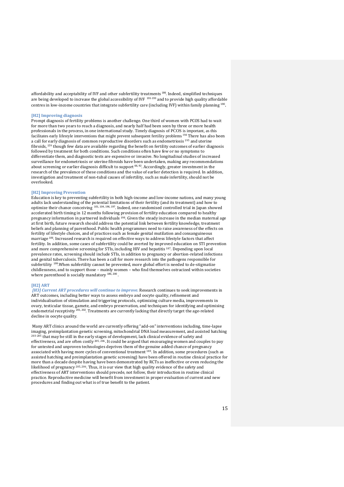affordability and acceptability of IVF and other subfertility treatments<sup>186</sup>. Indeed, simplified techniques are being developed to increase the global accessibility of IVF 191-193 and to provide high quality affordable centres in low-income countries that integrate subfertility care (including IVF) within family planning <sup>190</sup>.

#### **[H2] Improving diagnosis**

Prompt diagnosis of fertility problems is another challenge. One third of women with PCOS had to wait for more than two years to reach a diagnosis, and nearly half had been seen by three or more health professionals in the process, in one international study. Timely diagnosis of PCOS is important, as this facilitates early lifestyle interventions that might prevent subsequent fertility problems <sup>194</sup> There has also been a call for early diagnosis of common reproductive disorders such as endometriosis <sup>195</sup> and uterine fibroids, <sup>159</sup> though few data are available regarding the benefit on fertility outcomes of earlier diagnosis followed by treatment for both conditions. Such conditions often have few or no symptoms to differentiate them, and diagnostic tests are expensive or invasive. No longitudinal studies of increased surveillance for endometriosis or uterine fibroids have been undertaken, making any recommendations about screening or earlier diagnosis difficult to support <sup>66, 92</sup>. Accordingly, greater investment in the research of the prevalence of these conditions and the value of earlier detection is required. In addition, investigation and treatment of non-tubal causes of infertility, such as male infertility, should not be overlooked.

# **[H2] Improving Prevention**

Education is key to preventing subfertility in both high-income and low-income nations, and many young adults lack understanding of the potential limitations of their fertility (and its treatment) and how to optimize their chance conceiving 101, 104, 196, 197. Indeed, one randomised controlled trial in Japan showed accelerated birth timing in 12 months following provision of fertility education compared to healthy pregnancy information in partnered individuals <sup>198</sup>. Given the steady increase in the median maternal age at first birth, future research should address the potential link between fertility knowledge, treatment beliefs and planning of parenthood. Public health programmes need to raise awareness of the effects on fertility of lifestyle choices, and of practices such as female genital mutilation and consanguineous marriage<sup>106</sup>. Increased research is required on effective ways to address lifestyle factors that affect fertility. In addition, some cases of subfertility could be averted by improved education on STI prevention and more comprehensive screening for STIs, including HIV and hepatitis <sup>187</sup>. Depending upon local prevalence rates, screening should include STIs, in addition to pregnancy or abortion-related infections and genital tuberculosis. There has been a call for more research into the pathogens responsible for subfertility <sup>199</sup>. When subfertility cannot be prevented, more global effort is needed to de-stigmatize childlessness, and to support those – mainly women – who find themselves ostracized within societies where parenthood is socially mandatory 186, 200.

#### **[H2] ART**

 *[H3] Current ART procedures will continue to improve.* Research continues to seek improvements in ART outcomes, including better ways to assess embryo and oocyte quality, refinement and individualisation of stimulation and triggering protocols, optimizing culture media, improvements in ovary, testicular tissue, gamete, and embryo preservation, and techniques for identifying and optimising endometrial receptivity <sup>201, 202</sup>. Treatments are currently lacking that directly target the age-related decline in oocyte quality.

Many ART clinics around the world are currently offering "add-on" interventions including, time-lapse imaging, preimplantation genetic screening, mitochondrial DNA load measurement, and assisted hatching 203-205 that may be still in the early stages of development, lack clinical evidence of safety and effectiveness, and are often costly  $205, 206$ . It could be argued that encouraging women and couples to pay for untested and unproven technologies deprives them of the genuine added chance of pregnancy associated with having more cycles of conventional treatment 183. In addition, some procedures (such as assisted hatching and preimplantation genetic screening) have been offered in routine clinical practice for more than a decade despite having have been demonstrated by RCTs as ineffective or even reducing the likelihood of pregnancy 205, 206. Thus, it is our view that high quality evidence of the safety and effectiveness of ART interventions should precede, not follow, their introduction in routine clinical practice. Reproductive medicine will benefit from investment in proper evaluation of current and new procedures and finding out what is of true benefit to the patient.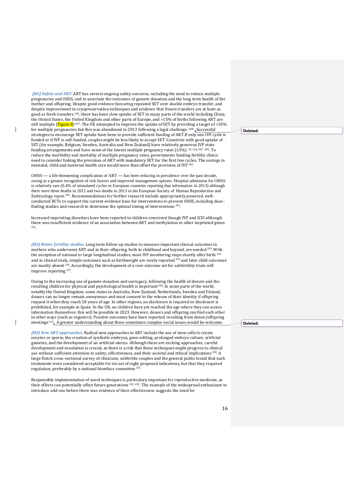*[H3] Safety and ART.* ART has several ongoing safety concerns, including the need to reduce multiple pregnancies and OHSS, and to ascertain the outcomes of gamete donation and the long term health of the mother and offspring. Despite good evidence favouring repeated SET over double embryo transfer, and despite improvement in cryopreservation techniques and evidence that frozen transfers are at least as good as fresh transfers <sup>139</sup>, there has been slow uptake of SET in many parts of the world including China, the United States, the United Kingdom and other parts of Europe, and >15% of births following ART are still multiple ( $Figure 8$ )<sup>207</sup>. The UK attempted to improve the uptake of SET by providing a target of <10% for multiple pregnancies but this was abandoned in 2013 following a legal challenge <sup>208</sup>. Successful strategies to encourage SET uptake have been to provide sufficient funding of ART.If only one IVF cycle is funded or if IVF is self-funded, couples might be less likely to accept SET. Countries with good uptake of SET (for example, Belgium, Sweden, Australia and New Zealand) have relatively generous IVF state funding arrangements and have some of the lowest multiple pregnancy rates ( $\leq$ 5%) 32, 134, 207, 209. To reduce the morbidity and mortality of multiple pregnancy rates, governments funding fertility clinics need to consider linking the provision of ART with mandatory SET for the first few cycles. The savings in neonatal, child and maternal health care would more than offset the provision of IVF<sup>210</sup>.

 $\overline{\phantom{a}}$ 

 $\overline{\phantom{a}}$ 

OHSS — a life-threatening complication of ART — has been reducing in prevalence over the past decade, owing to a greater recognition of risk factors and improved management options. Hospital admission for OHSS is relatively rare (0.4% of stimulated cycles in European countries reporting that information in 2013) although there were three deaths in 2012 and two deaths in 2013 in the European Society of Human Reproduction and Embryology report <sup>134</sup>. Recommendations for further research include appropriately powered, wellconducted RCTs to support the current evidence base for interventions to prevent OHSS, including dosefinding studies and research to determine the optimal timing of interventions<sup>211</sup>.

Increased imprinting disorders have been reported in children conceived though IVF and ICSI although there was insufficient evidence of an association between ART and methylation in other imprinted genes 212 .

*[H3] Better fertility studies.* Long term follow up studies to measure important clinical outcomes in mothers who underwent ART and in their offspring, both in childhood and beyond, are needed<sup>213</sup>. With the exception of national or large longitudinal studies, most IVF monitoring stops shortly after birth<sup>214</sup> and in clinical trials, simple outcomes such as birthweight are rarely reported<sup>215</sup> and later child outcomes and in emission case, since a crossover  $\frac{1}{2}$  are mostly absent <sup>216</sup>. Accordingly, the development of a core outcome set for subfertility trials will improve reporting<sup>217</sup>.

Owing to the increasing use of gamete donation and surrogacy, following the health of donors and the resulting children for physical and psychological health is important <sup>218</sup>. In some parts of the world, notably the United Kingdom, some states in Australia, New Zealand, Netherlands, Sweden and Finland, donors can no longer remain anonymous and must consent to the release of their identity if offspring request it when they reach 18 years of age. In other regions, no disclosure is required or disclosure is prohibited, for example in Spain. In the UK, no children have yet reached the age where they can access information themselves: this will be possible in 2023. However, donors and offspring can find each other in other ways (such as registers). Positive outcomes have been reported, resulting from donor/offspring meetings  $219_e$ . A greater understanding about these sometimes complex social issues would be welcome.

*[H3] New ART approaches.* Radical new approaches in ART include the use of stem cells to create oocytes or sperm, the creation of synthetic embryos, gene-editing, prolonged embryo culture, artificial gametes, and the development of an artificial uterus. Although these are exciting approaches, careful development and evaulation is crucial, as there is a risk that these techniques might progress to clinical use without sufficient attention to safety, effectiveness, and their societal and ethical implications <sup>220</sup>. A large Dutch cross-sectional survey of clinicians, subfertile couples and the general public found that such treatments were considered acceptable for six out of eight proposed indications, but that they required regulation, preferably by a national bioethics committee<sup>221</sup>.

Responsible implementation of novel techniques is particulary important for reproductive medicine, as their effects can potentially affect future generations <sup>221, 222</sup>. The example of the widespread enthusiasm to introduce add-ons before there was evidence of their effectiveness suggests the need for

**Deleted:** 

**Deleted:**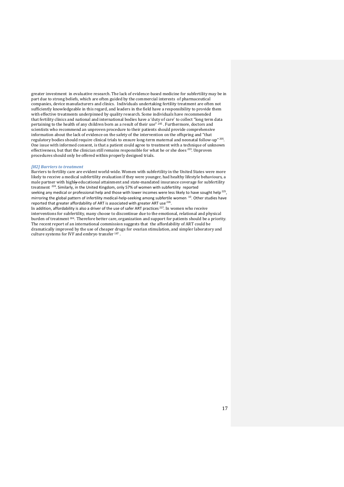greater investment in evaluative research. The lack of evidence-based medicine for subfertility may be in part due to strong beliefs, which are often guided by the commercial interests of pharmaceutical companies, device manufacturers and clinics. Individuals undertaking fertility treatment are often not sufficiently knowledgeable in this regard, and leaders in the field have a responsibility to provide them with effective treatments underpinned by quality research. Some individuals have recommended that fertility clinics and national and international bodies have a 'duty of care' to collect "long term data" pertaining to the health of any children born as a result of their use" 205. Furthermore, doctors and scientists who recommend an unproven procedure to their patients should provide comprehensive information about the lack of evidence on the safety of the intervention on the offspring and "that regulatory bodies should require clinical trials to ensure long-term maternal and neonatal follow-up" <sup>205</sup>. One issue with informed consent, is that a patient could agree to treatment with a technique of unknown effectiveness, but that the clinician still remains responsible for what he or she does<sup>223</sup>. Unproven procedures should only be offered within properly designed trials.

# *[H2] Barriers to treatment*

Barriers to fertility care are evident world-wide. Women with subfertility in the United States were more likely to receive a medical subfertility evaluation if they were younger, had healthy lifestyle behaviours, a male partner with highly educational attainment and state-mandated insurance coverage for subfertility treatment <sup>224</sup>. Similarly, in the United Kingdom, only 57% of women with subfertility reported seeking any medical or professional help and those with lower incomes were less likely to have sought help  $^{225}$ , mirroring the global pattern of infertility medical-help-seeking among subfertile women <sup>10</sup>. Other studies have reported that greater affordability of ART is associated with greater ART use  $^{226}$ .

In addition, affordability is also a driver of the use of safer ART practices<sup>227</sup>. In women who receive interventions for subfertility, many choose to discontinue due to the emotional, relational and physical burden of treatment <sup>184</sup>. Therefore better care, organization and support for patients should be a priority. The recent report of an international commission suggests that the affordability of ART could be dramatically improved by the use of cheaper drugs for ovarian stimulation, and simpler laboratory and culture systems for IVF and embryo transfer <sup>187</sup> .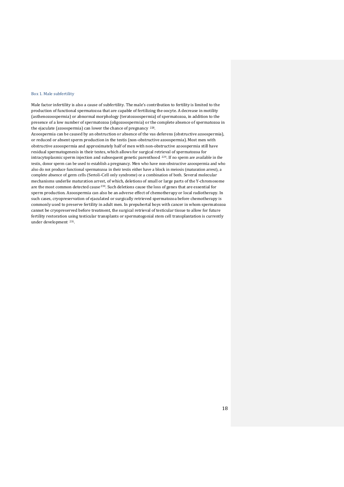# Box 1. Male subfertility

Male factor infertility is also a cause of subfertility. The male's contribution to fertility is limited to the production of functional spermatozoa that are capable of fertilizing the oocyte. A decrease in motility (asthenozoospermia) or abnormal morphology (teratozoospermia) of spermatozoa, in addition to the presence of a low number of spermatozoa (oligozoospermia) or the complete absence of spermatozoa in the ejaculate (azoospermia) can lower the chance of pregnancy 228.

Azoospermia can be caused by an obstruction or absence of the vas deferens (obstructive azoospermia), or reduced or absent sperm production in the testis (non-obstructive azoospermia). Most men with obstructive azoospermia and approximately half of men with non-obstructive azoospermia still have residual spermatogenesis in their testes, which allows for surgical retrieval of spermatozoa for intracytoplasmic sperm injection and subsequent genetic parenthood 229. If no sperm are available in the testis, donor sperm can be used to establish a pregnancy. Men who have non-obstructive azoospermia and who also do not produce functional spermatozoa in their testis either have a block in meiosis (maturation arrest), a complete absence of germ cells (Sertoli-Cell only syndrome) or a combination of both. Several molecular mechanisms underlie maturation arrest, of which, deletions of small or large parts of the Y-chromosome are the most common detected cause <sup>230</sup>. Such deletions cause the loss of genes that are essential for sperm production. Azoospermia can also be an adverse effect of chemotherapy or local radiotherapy. In such cases, cryopreservation of ejaculated or surgically retrieved spermatozoa before chemotherapy is commonly used to preserve fertility in adult men. In prepubertal boys with cancer in whom spermatozoa cannot be cryopreserved before treatment, the surgical retrieval of testicular tissue to allow for future fertility restoration using testicular transplants or spermatogonial stem cell transplantation is currently under development 231.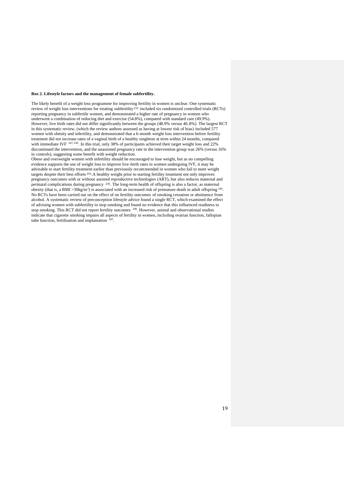#### **Box 2. Lifestyle factors and the management of female subfertility.**

The likely benefit of a weight loss programme for improving fertility in women is unclear. One systematic review of weight loss interventions for treating subfertility<sup>232</sup> included six randomized controlled trials (RCTs) reporting pregnancy in subfertile women, and demonstrated a higher rate of pregnancy in women who underwent a combination of reducing diet and exercise (54.8%), compared with standard care (49.9%). However, live birth rates did not differ significantly between the groups (48.9% versus 46.8%). The largest RCT in this systematic review, (which the review authors assessed as having at lowest risk of bias) included 577 women with obesity and infertility, and demonstrated that a 6-month weight loss intervention before fertility treatment did not increase rates of a vaginal birth of a healthy singleton at term within 24 months, compared with immediate IVF <sup>147, 233</sup>. In this trial, only 38% of participants achieved their target weight loss and 22% discontinued the intervention, and the unassisted pregnancy rate in the intervention group was 26% (versus 16% in controls), suggesting some benefit with weight reduction.

Obese and overweight women with infertility should be encouraged to lose weight, but as no compelling evidence supports the use of weight loss to improve live-birth rates in women undergoing IVF, it may be advisable to start fertility treatment earlier than previously recommended in women who fail to meet weight targets despite their best efforts <sup>234</sup>. A healthy weight prior to starting fertility treatment not only improves pregnancy outcomes with or without assisted reproductive technologies (ART), but also reduces maternal and perinatal complications during pregnancy 234. The long-term health of offspring is also a factor, as maternal obesity (that is, a BMI >30kg/m<sup>2</sup>) is associated with an increased risk of premature death in adult offspring  $^{235}$ . No RCTs have been carried out on the effect of on fertility outcomes of smoking cessation or abstinence from alcohol. A systematic review of preconception lifestyle advice found a single RCT, which examined the effect of advising women with subfertility to stop smoking and found no evidence that this influenced readiness to stop smoking. This RCT did not report fertility outcomes <sup>236</sup>. However, animal and observational studies indicate that cigarette smoking impairs all aspects of fertility in women, including ovarian function, fallopian tube function, fertilisation and implantation <sup>237</sup>.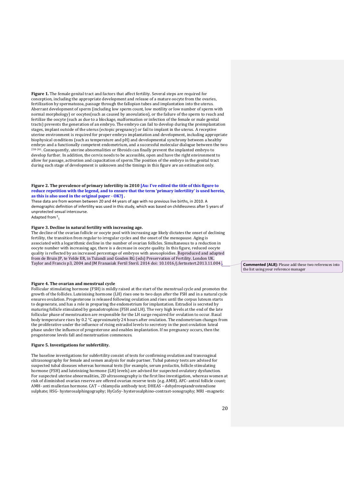**Figure 1.** The female genital tract and factors that affect fertility. Several steps are required for conception, including the appropriate development and release of a mature oocyte from the ovaries, fertilization by spermatozoa, passage through the fallopian tubes and implantation into the uterus. Aberrant development of sperm (including low sperm count, low motility or low number of sperm with normal morphology) or oocytes(such as caused by anovulation), or the failure of the sperm to reach and fertilize the oocyte (such as due to a blockage, malformation or infection of the female or male genital tracts) prevents the generation of an embryo. The embryo can fail to develop during the preimplantation stages, implant outside of the uterus (ectopic pregnancy) or fail to implant in the uterus. A receptive uterine environment is required for proper embryo implantation and development, including appropriate biophysical conditions (such as temperature and pH) and developmental synchrony between a healthy embryo and a functionally competent endometrium, and a successful molecular dialogue between the two <sup>238-241</sup>. Consequently, uterine abnormalities or fibroids can finally prevent the implanted embryo to develop further. In addition, the cervix needs to be accessible, open and have the right environment to allow for passage, activation and capacitation of sperm.The position of the embryo in the genital tract during each stage of development is unknown and the timings in this figure are an estimation only.

# Figure 2. The prevalence of primary infertility in 2010 [Au: I've edited the title of this figure to reduce repetition with the legend, and to ensure that the term 'primary infertility' is used herein, **as this is also used in the original paper - OK?] .**

These data are from women between 20 and 44 years of age with no previous live births, in 2010. A demographic definition of infertility was used in this study, which was based on childlessness after 5 years of unprotected sexual intercourse.

Adapted from 3**.** 

# **Figure 3. Decline in natural fertility with increasing age.**

The decline of the ovarian follicle or oocyte pool with increasing age likely dictates the onset of declining fertility, the transition from regular to irregular cycles and the onset of the menopause. Aging is associated with a logarithmic decline in the number of ovarian follicles. Simultaneous to a reduction in oocyte number with increasing age, there is a decrease in oocyte quality. In this figure, reduced oocyte quality is reflected by an increased percentage of embryos with aneuoploidies. Reproduced and adapted from de Bruin JP, te Velde ER, in Tulandi and Gosden RG (eds) Preservation of Fertility. London UK. Taylor and Francis p3, 2004 and JM Franasiak Fertil Steril. 2014 doi: 10.1016/j.fertnstert.2013.11.004 **.**

# **Figure 4. The ovarian and menstrual cycle**

Follicular stimulating hormone (FSH) is mildly raised at the start of the menstrual cycle and promotes the growth of the follicles. Luteinising hormone (LH) rises one to two days after the FSH and in a natural cycle ensures ovulation. Progesterone is released following ovulation and rises until the corpus luteum starts to degenerate, and has a role in preparing the endometrium for implantation. Estradiol is secreted by maturing follicle stimulated by gonadotrophins (FSH and LH). The very high levels at the end of the late follicular phase of menstruation are responsible for the LH surge required for ovulation to occur. Basal body temperature rises by 0.2 °C approximately 24 hours after ovulation. The endometrium changes from the proliferative under the influence of rising estradiol levels to secretory in the post ovulation luteal phase under the influence of progesterone and enables implantation. If no pregnancy occurs, then the progesterone levels fall and menstruation commences.

#### **Figure 5. Investigations for subfertility.**

The baseline investigations for subfertility consist of tests for confirming ovulation and transvaginal ultrasonography for female and semen analysis for male partner. Tubal patency tests are advised for suspected tubal diseases whereas hormonal tests (for example, serum prolactin, follicle stimulating hormone (FSH) and luteinizing hormone (LH) levels) are advised for suspected ovulatory dysfunction. For suspected uterine abnormalities, 2D ultrasonography is the first line investigation, whereas women at risk of diminished ovarian reserve are offered ovarian reserve tests (e.g. AMH). AFC- antral follicle count; AMH- anti mullerian hormone. CAT – chlamydia antibody test; DHEAS – dehydroepiandrostendione sulphate; HSG- hysterosalphingography; HyCoSy- hysterosalphino-contrast-sonography; MRI –magnetic

**Commented [AL8]:** Please add these two references into the list using your reference manager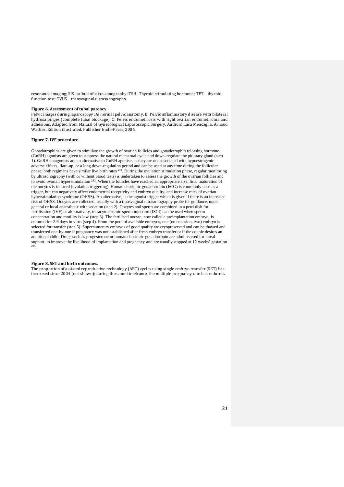resonance imaging; SIS- saline infusion sonography; TSH- Thyroid stimulating hormone; TFT – thyroid function test; TVUS – transvaginal ultrasonography.

# **Figure 6. Assessment of tubal patency.**

Pelvic images during laparoscopy :A| normal pelvic anatomy. B| Pelvic inflammatory disease with bilateral hydrosalpinges (complete tubal blockage). C| Pelvic endometriosis with right ovarian endometrioma and adhesions. Adapted from Manual of Gynecological Laparoscopic Surgery. Authors Luca Mencaglia, Arnaud Wattiez. Edition illustrated. Publisher Endo-Press, 2006.

# **Figure 7. IVF procedure.**

Gonadotrophins are given to stimulate the growth of ovarian follicles and gonadotrophin releasing hormone (GnRH) agonists are given to suppress the natural menstrual cycle and down-regulate the pituitary gland (step 1). GnRH antagonists are an alternative to GnRH agonists as they are not associated with hypoestrogenic adverse effects, flare-up, or a long down-regulation period and can be used at any time during the follicular phase; both regimens have similar live birth rates <sup>242</sup>. During the ovulation stimulation phase, regular monitoring by ultrasonography (with or without blood tests) is undertaken to assess the growth of the ovarian follicles and to avoid ovarian hyperstimulation<sup>243</sup>. When the follicles have reached an appropriate size, final maturation of the oocytes is induced (ovulation triggering). Human chorionic gonadotropin (hCG) is commonly used as a trigger, but can negatively affect endometrial receptivity and embryo quality, and increase rates of ovarian hyperstimulation syndrome (OHSS). An alternative, is the agonist trigger which is given if there is an increased risk of OHSS. Oocytes are collected, usually with a transvaginal ultrasonography probe for guidance, under general or local anaesthetic with sedation (step 2). Oocytes and sperm are combined in a petri dish for fertilisation (IVF) or alternatively, intracytoplasmic sperm injection (ISCI) can be used when sperm concentration and motility is low (step 3). The fertilised oocyte, now called a preimplantation embryo, is cultured for 2-6 days in vitro (step 4). From the pool of available embryos, one (on occasion, two) embryo is selected for transfer (step 5). Supernumerary embryos of good quality are cryopreserved and can be thawed and transferred one-by-one if pregnancy was not established after fresh embryo transfer or if the couple desires an additional child. Drugs such as progesterone or human chorionic gonadotropin are administered for luteal support, to improve the likelihood of implantation and pregnancy and are usually stopped at 12 weeks' gestation 244 .

# **Figure 8. SET and birth outcomes.**

The proportion of assisted reproductive technology (ART) cycles using single embryo transfer (SET) has increased since 2004 (not shown); during the same timeframe, the multiple pregnancy rate has reduced.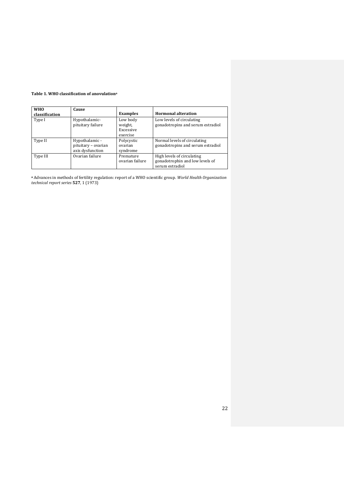# **Table 1. WHO classification of anovulation<sup>a</sup>**

| <b>WHO</b><br>classification | Cause                                                     | <b>Examples</b>                              | <b>Hormonal alteration</b>                                                       |
|------------------------------|-----------------------------------------------------------|----------------------------------------------|----------------------------------------------------------------------------------|
| Type I                       | Hypothalamic-<br>pituitary failure                        | Low body<br>weight,<br>Excessive<br>exercise | Low levels of circulating<br>gonadotropins and serum estradiol                   |
| Type II                      | Hypothalamic -<br>pituitary - ovarian<br>axis dysfunction | Polycystic<br>ovarian<br>syndrome            | Normal levels of circulating<br>gonadotropins and serum estradiol                |
| Type III                     | Ovarian failure                                           | Premature<br>ovarian failure                 | High levels of circulating<br>gonadotrophin and low levels of<br>serum estradiol |

**<sup>a</sup>** Advances in methods of fertility regulation: report of a WHO scientific group. *World Health Organization technical report series* **527**, 1 (1973)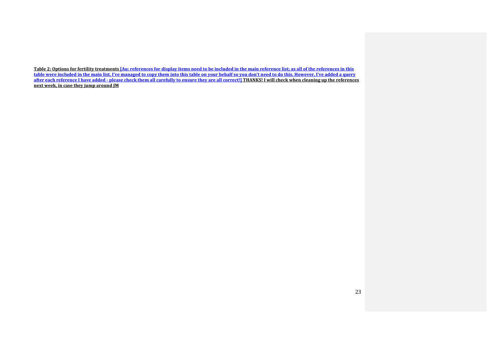**Table 2: Options for fertility treatments [Au: references for display items need to be included in the main reference list; as all of the references in this**  <u>table were included in the main list, I've managed to copy them into this table on your behalf so you don't need to do this. However, I've added a query</u> **after each reference I have added - please check them all carefully to ensure they are all correct!] THANKS! I will check when cleaning up the references next week, in case they jump around JM**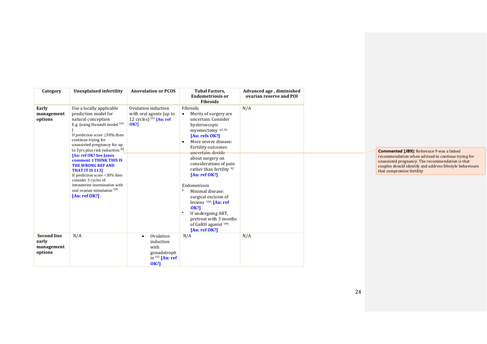| Category                                             | <b>Unexplained infertility</b>                                                                                                                                                                                                                                                                                                                                                                                                                                                                                       | <b>Anovulation or PCOS</b>                                                                     | <b>Tubal Factors,</b><br><b>Endometriosis or</b><br><b>Fibroids</b>                                                                                                                                                                                                                                                                                                                                                                                                                                                                                   | Advanced age, diminished<br>ovarian reserve and POI |
|------------------------------------------------------|----------------------------------------------------------------------------------------------------------------------------------------------------------------------------------------------------------------------------------------------------------------------------------------------------------------------------------------------------------------------------------------------------------------------------------------------------------------------------------------------------------------------|------------------------------------------------------------------------------------------------|-------------------------------------------------------------------------------------------------------------------------------------------------------------------------------------------------------------------------------------------------------------------------------------------------------------------------------------------------------------------------------------------------------------------------------------------------------------------------------------------------------------------------------------------------------|-----------------------------------------------------|
| Early<br>management<br>options                       | Use a locally applicable<br>prediction model for<br>natural conception<br>E.g. (using Hunault model 113<br>If prediction score $\geq$ 30% then<br>continue trying for<br>unassisted pregnancy for up.<br>to 3yrs plus risk reduction <sup>20</sup><br>[Au: ref OK? See Janes]<br><b>comment I THINK THIS IS</b><br><b>THE WRONG REF AND</b><br><b>THAT IT IS 113]</b><br>If prediction score <30% then<br>consider 3 cycles of<br>intrauterine insemination with<br>oral ovarian stimulation 126<br>$[Au:ref OK?]$ . | Ovulation induction<br>with oral agents (up to<br>12 cycles) $151$ [Au: ref<br><b>OK?1</b>     | Fibroids<br>Merits of surgery are<br>$\bullet$<br>uncertain. Consider<br>hysteroscopic<br>myomectomy 63, 92<br>[Au: refs $OK?)$ ]<br>More severe disease:<br>$\bullet$<br>Fertility outcomes<br>uncertain: decide<br>about surgery on<br>considerations of pain<br>rather than fertility <sup>92</sup><br>[Au: ref OK?]<br>Endometriosis<br>Minimal disease:<br>surgical excision of<br>lesions $160$ . [Au: ref<br><b>OK?1</b><br>$\bullet$<br>If undergoing ART,<br>pretreat with 3 months<br>of GnRH agonist <sup>160</sup> .<br>[Au: ref $OK?)$ ] | N/A                                                 |
|                                                      |                                                                                                                                                                                                                                                                                                                                                                                                                                                                                                                      |                                                                                                |                                                                                                                                                                                                                                                                                                                                                                                                                                                                                                                                                       |                                                     |
| <b>Second line</b><br>early<br>management<br>options | N/A                                                                                                                                                                                                                                                                                                                                                                                                                                                                                                                  | Ovulation<br>$\bullet$<br>induction<br>with<br>gonadotroph<br>in $151$ [Au: ref<br><b>OK?1</b> | N/A                                                                                                                                                                                                                                                                                                                                                                                                                                                                                                                                                   | N/A                                                 |

**Commented [JB9]:** Reference 9 was a linked recommendation when advised to continue trying for unassisted pregnancy. The recommendation is that couples should identify and address lifestyle behaviours that compromise fertility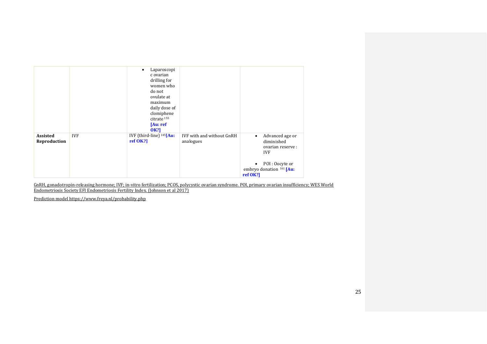|                                 |            | Laparoscopi<br>c ovarian<br>drilling for<br>women who<br>do not<br>ovulate at<br>maximum<br>daily dose of<br>clomiphene<br>citrate <sup>155</sup><br>[Au: ref<br><b>OK?1</b> |                                        |                                                                                                                                         |
|---------------------------------|------------|------------------------------------------------------------------------------------------------------------------------------------------------------------------------------|----------------------------------------|-----------------------------------------------------------------------------------------------------------------------------------------|
| <b>Assisted</b><br>Reproduction | <b>IVF</b> | IVF (third-line) $145$ [Au:<br>$ref$ OK?]                                                                                                                                    | IVF with and without GnRH<br>analogues | Advanced age or<br>$\bullet$<br>diminished<br>ovarian reserve :<br><b>IVF</b><br>POI: Oocyte or<br>embryo donation 161 [Au:<br>ref OK?] |

GnRH, gonadotropin-releasing hormone; IVF; in-vitro fertilization; PCOS, polycystic ovarian syndrome. POI, primary ovarian insufficiency; WES World Endometriosis Society EFI Endometriosis Fertility Index. (Johnson et al 2017)

Prediction model https://www.freya.nl/probability.php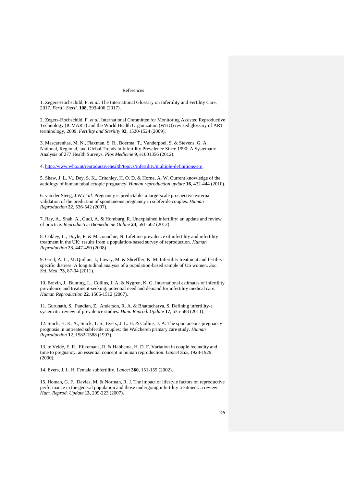#### References

1. Zegers-Hochschild, F. *et al*. The International Glossary on Infertility and Fertility Care, 2017. *Fertil. Steril.* **108**, 393-406 (2017).

2. Zegers-Hochschild, F. *et al*. International Committee for Monitoring Assisted Reproductive Technology (ICMART) and the World Health Organization (WHO) revised glossary of ART terminology, 2009. *Fertility and Sterility* **92**, 1520-1524 (2009).

3. Mascarenhas, M. N., Flaxman, S. R., Boerma, T., Vanderpoel, S. & Stevens, G. A. National, Regional, and Global Trends in Infertility Prevalence Since 1990: A Systematic Analysis of 277 Health Surveys. *Plos Medicine* **9**, e1001356 (2012).

4. [http://www.who.int/reproductivehealth/topics/infertility/multiple-definitions/en/.](http://www.who.int/reproductivehealth/topics/infertility/multiple-definitions/en/)

5. Shaw, J. L. V., Dey, S. K., Critchley, H. O. D. & Horne, A. W. Current knowledge of the aetiology of human tubal ectopic pregnancy. *Human reproduction update* **16**, 432-444 (2010).

6. van der Steeg, J W *et al*. Pregnancy is predictable: a large-scale prospective external validation of the prediction of spontaneous pregnancy in subfertile couples. *Human Reproduction* **22**, 536-542 (2007).

7. Ray, A., Shah, A., Gudi, A. & Homburg, R. Unexplained infertility: an update and review of practice. *Reproductive Biomedicine Online* **24**, 591-602 (2012).

8. Oakley, L., Doyle, P. & Maconochie, N. Lifetime prevalence of infertility and infertility treatment in the UK: results from a population-based survey of reproduction. *Human Reproduction* **23**, 447-450 (2008).

9. Greil, A. L., McQuillan, J., Lowry, M. & Shreffler, K. M. Infertility treatment and fertilityspecific distress: A longitudinal analysis of a population-based sample of US women. *Soc. Sci. Med.* **73**, 87-94 (2011).

10. Boivin, J., Bunting, L., Collins, J. A. & Nygren, K. G. International estimates of infertility prevalence and treatment-seeking: potential need and demand for infertility medical care. *Human Reproduction* **22**, 1506-1512 (2007).

11. Gurunath, S., Pandian, Z., Anderson, R. A. & Bhattacharya, S. Defining infertility-a systematic review of prevalence studies. *Hum. Reprod. Update* **17**, 575-588 (2011).

12. Snick, H. K. A., Snick, T. S., Evers, J. L. H. & Collins, J. A. The spontaneous pregnancy prognosis in untreated subfertile couples: the Walcheren primary care study. *Human Reproduction* **12**, 1582-1588 (1997).

13. te Velde, E. R., Eijkemans, R. & Habbema, H. D. F. Variation in couple fecundity and time to pregnancy, an essential concept in human reproduction. *Lancet* **355**, 1928-1929 (2000).

14. Evers, J. L. H. Female subfertility. *Lancet* **360**, 151-159 (2002).

15. Homan, G. F., Davies, M. & Norman, R. J. The impact of lifestyle factors on reproductive performance in the general population and those undergoing infertility treatment: a review. *Hum. Reprod. Update* **13**, 209-223 (2007).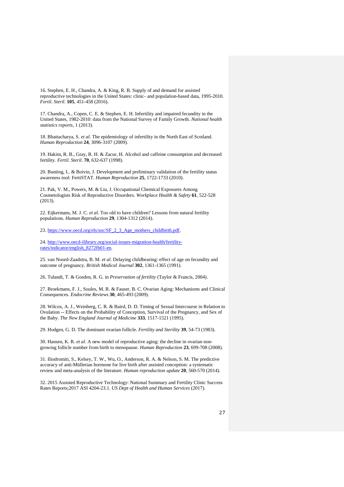16. Stephen, E. H., Chandra, A. & King, R. B. Supply of and demand for assisted reproductive technologies in the United States: clinic- and population-based data, 1995-2010. *Fertil. Steril.* **105**, 451-458 (2016).

17. Chandra, A., Copen, C. E. & Stephen, E. H. Infertility and impaired fecundity in the United States, 1982-2010: data from the National Survey of Family Growth. *National health statistics reports*, 1 (2013).

18. Bhattacharya, S. *et al*. The epidemiology of infertility in the North East of Scotland. *Human Reproduction* **24**, 3096-3107 (2009).

19. Hakim, R. B., Gray, R. H. & Zacur, H. Alcohol and caffeine consumption and decreased fertility. *Fertil. Steril.* **70**, 632-637 (1998).

20. Bunting, L. & Boivin, J. Development and preliminary validation of the fertility status awareness tool: FertiSTAT. *Human Reproduction* **25**, 1722-1733 (2010).

21. Pak, V. M., Powers, M. & Liu, J. Occupational Chemical Exposures Among Cosmetologists Risk of Reproductive Disorders. *Workplace Health & Safety* **61**, 522-528 (2013).

22. Eijkermans, M. J. C. *et al*. Too old to have children? Lessons from natural fertility populations. *Human Reproduction* **29**, 1304-1312 (2014).

23[. https://www.oecd.org/els/soc/SF\\_2\\_3\\_Age\\_mothers\\_childbirth.pdf.](https://www.oecd.org/els/soc/SF_2_3_Age_mothers_childbirth.pdf)

24[. http://www.oecd-ilibrary.org/social-issues-migration-health/fertility](http://www.oecd-ilibrary.org/social-issues-migration-health/fertility-rates/indicator/english_8272fb01-en)[rates/indicator/english\\_8272fb01-en.](http://www.oecd-ilibrary.org/social-issues-migration-health/fertility-rates/indicator/english_8272fb01-en)

25. van Noord-Zaadstra, B. M. *et al*. Delaying childbearing: effect of age on fecundity and outcome of pregnancy. *British Medical Journal* **302**, 1361-1365 (1991).

26. Tulandi, T. & Gosden, R. G. in *Preservation of fertility* (Taylor & Francis, 2004).

27. Broekmans, F. J., Soules, M. R. & Fauser, B. C. Ovarian Aging: Mechanisms and Clinical Consequences. *Endocrine Reviews* **30**, 465-493 (2009).

28. Wilcox, A. J., Weinberg, C. R. & Baird, D. D. Timing of Sexual Intercourse in Relation to Ovulation -- Effects on the Probability of Conception, Survival of the Pregnancy, and Sex of the Baby. *The New England Journal of Medicine* **333**, 1517-1521 (1995).

29. Hodgen, G. D. The dominant ovarian follicle. *Fertility and Sterility* **39**, 54-73 (1983).

30. Hansen, K. R. *et al*. A new model of reproductive aging: the decline in ovarian nongrowing follicle number from birth to menopause. *Human Reproduction* **23**, 699-708 (2008).

31. Iliodromiti, S., Kelsey, T. W., Wu, O., Anderson, R. A. & Nelson, S. M. The predictive accuracy of anti-Müllerian hormone for live birth after assisted conception: a systematic review and meta-analysis of the literature. *Human reproduction update* **20**, 560-570 (2014).

32. 2015 Assisted Reproductive Technology: National Summary and Fertility Clinic Success Rates Reports;2017 ASI 4204-23.1. *US Dept of Health and Human Services* (2017).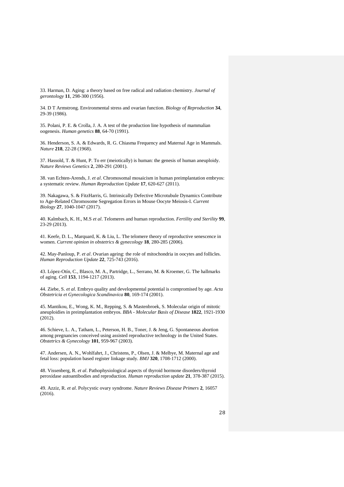33. Harman, D. Aging: a theory based on free radical and radiation chemistry. *Journal of gerontology* **11**, 298-300 (1956).

34. D T Armstrong. Environmental stress and ovarian function. *Biology of Reproduction* **34**, 29-39 (1986).

35. Polani, P. E. & Crolla, J. A. A test of the production line hypothesis of mammalian oogenesis. *Human genetics* **88**, 64-70 (1991).

36. Henderson, S. A. & Edwards, R. G. Chiasma Frequency and Maternal Age in Mammals. *Nature* **218**, 22-28 (1968).

37. Hassold, T. & Hunt, P. To err (meiotically) is human: the genesis of human aneuploidy. *Nature Reviews Genetics* **2**, 280-291 (2001).

38. van Echten-Arends, J. *et al*. Chromosomal mosaicism in human preimplantation embryos: a systematic review. *Human Reproduction Update* **17**, 620-627 (2011).

39. Nakagawa, S. & FitzHarris, G. Intrinsically Defective Microtubule Dynamics Contribute to Age-Related Chromosome Segregation Errors in Mouse Oocyte Meiosis-I. *Current Biology* **27**, 1040-1047 (2017).

40. Kalmbach, K. H., M.S *et al*. Telomeres and human reproduction. *Fertility and Sterility* **99**, 23-29 (2013).

41. Keefe, D. L., Marquard, K. & Liu, L. The telomere theory of reproductive senescence in women. *Current opinion in obstetrics & gynecology* **18**, 280-285 (2006).

42. May-Panloup, P. *et al*. Ovarian ageing: the role of mitochondria in oocytes and follicles. *Human Reproduction Update* **22**, 725-743 (2016).

43. López-Otín, C., Blasco, M. A., Partridge, L., Serrano, M. & Kroemer, G. The hallmarks of aging. *Cell* **153**, 1194-1217 (2013).

44. Ziebe, S. *et al*. Embryo quality and developmental potential is compromised by age. *Acta Obstetricia et Gynecologica Scandinavica* **80**, 169-174 (2001).

45. Mantikou, E., Wong, K. M., Repping, S. & Mastenbroek, S. Molecular origin of mitotic aneuploidies in preimplantation embryos. *BBA - Molecular Basis of Disease* **1822**, 1921-1930 (2012).

46. Schieve, L. A., Tatham, L., Peterson, H. B., Toner, J. & Jeng, G. Spontaneous abortion among pregnancies conceived using assisted reproductive technology in the United States. *Obstetrics & Gynecology* **101**, 959-967 (2003).

47. Andersen, A. N., Wohlfahrt, J., Christens, P., Olsen, J. & Melbye, M. Maternal age and fetal loss: population based register linkage study. *BMJ* **320**, 1708-1712 (2000).

48. Vissenberg, R. *et al*. Pathophysiological aspects of thyroid hormone disorders/thyroid peroxidase autoantibodies and reproduction. *Human reproduction update* **21**, 378-387 (2015).

49. Azziz, R. *et al*. Polycystic ovary syndrome. *Nature Reviews Disease Primers* **2**, 16057 (2016).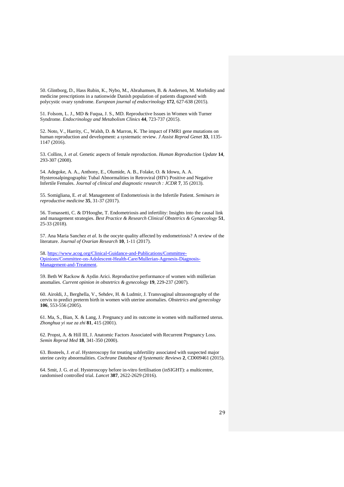50. Glintborg, D., Hass Rubin, K., Nybo, M., Abrahamsen, B. & Andersen, M. Morbidity and medicine prescriptions in a nationwide Danish population of patients diagnosed with polycystic ovary syndrome. *European journal of endocrinology* **172**, 627-638 (2015).

51. Folsom, L. J., MD & Fuqua, J. S., MD. Reproductive Issues in Women with Turner Syndrome. *Endocrinology and Metabolism Clinics* **44**, 723-737 (2015).

52. Noto, V., Harrity, C., Walsh, D. & Marron, K. The impact of FMR1 gene mutations on human reproduction and development: a systematic review. *J Assist Reprod Genet* **33**, 1135- 1147 (2016).

53. Collins, J. *et al*. Genetic aspects of female reproduction. *Human Reproduction Update* **14**, 293-307 (2008).

54. Adegoke, A. A., Anthony, E., Olumide, A. B., Folake, O. & Idowu, A. A. Hysterosalpingographic Tubal Abnormalities in Retroviral (HIV) Positive and Negative Infertile Females. *Journal of clinical and diagnostic research : JCDR* **7**, 35 (2013).

55. Somigliana, E. *et al*. Management of Endometriosis in the Infertile Patient. *Seminars in reproductive medicine* **35**, 31-37 (2017).

56. Tomassetti, C. & D'Hooghe, T. Endometriosis and infertility: Insights into the causal link and management strategies. *Best Practice & Research Clinical Obstetrics & Gynaecology* **51**, 25-33 (2018).

57. Ana Maria Sanchez *et al*. Is the oocyte quality affected by endometriosis? A review of the literature. *Journal of Ovarian Research* **10**, 1-11 (2017).

58[. https://www.acog.org/Clinical-Guidance-and-Publications/Committee-](https://www.acog.org/Clinical-Guidance-and-Publications/Committee-Opinions/Committee-on-Adolescent-Health-Care/Mullerian-Agenesis-Diagnosis-Management-and-Treatment)[Opinions/Committee-on-Adolescent-Health-Care/Mullerian-Agenesis-Diagnosis-](https://www.acog.org/Clinical-Guidance-and-Publications/Committee-Opinions/Committee-on-Adolescent-Health-Care/Mullerian-Agenesis-Diagnosis-Management-and-Treatment)[Management-and-Treatment.](https://www.acog.org/Clinical-Guidance-and-Publications/Committee-Opinions/Committee-on-Adolescent-Health-Care/Mullerian-Agenesis-Diagnosis-Management-and-Treatment)

59. Beth W Rackow & Aydin Arici. Reproductive performance of women with müllerian anomalies. *Current opinion in obstetrics & gynecology* **19**, 229-237 (2007).

60. Airoldi, J., Berghella, V., Sehdev, H. & Ludmir, J. Transvaginal ultrasonography of the cervix to predict preterm birth in women with uterine anomalies. *Obstetrics and gynecology* **106**, 553-556 (2005).

61. Ma, S., Bian, X. & Lang, J. Pregnancy and its outcome in women with malformed uterus. *Zhonghua yi xue za zhi* **81**, 415 (2001).

62. Propst, A. & Hill III, J. Anatomic Factors Associated with Recurrent Pregnancy Loss. *Semin Reprod Med* **18**, 341-350 (2000).

63. Bosteels, J. *et al*. Hysteroscopy for treating subfertility associated with suspected major uterine cavity abnormalities. *Cochrane Database of Systematic Reviews* **2**, CD009461 (2015).

64. Smit, J. G. *et al*. Hysteroscopy before in-vitro fertilisation (inSIGHT): a multicentre, randomised controlled trial. *Lancet* **387**, 2622-2629 (2016).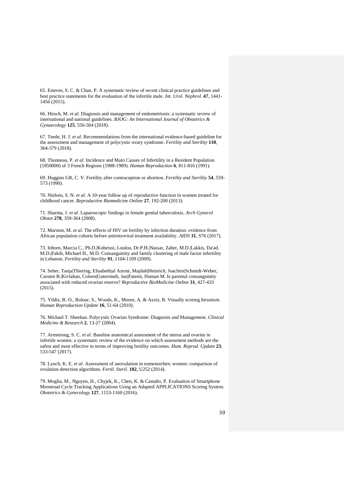65. Esteves, S. C. & Chan, P. A systematic review of recent clinical practice guidelines and best practice statements for the evaluation of the infertile male. *Int. Urol. Nephrol.* **47**, 1441- 1456 (2015).

66. Hirsch, M. *et al*. Diagnosis and management of endometriosis: a systematic review of international and national guidelines. *BJOG: An International Journal of Obstetrics & Gynaecology* **125**, 556-564 (2018).

67. Teede, H. J. *et al*. Recommendations from the international evidence-based guideline for the assessment and management of polycystic ovary syndrome. *Fertility and Sterility* **110**, 364-379 (2018).

68. Thonneau, P. *et al*. Incidence and Main Causes of Infertility in a Resident Population (1850000) of 3 French Regions (1988-1989). *Human Reproduction* **6**, 811-816 (1991).

69. Huggins GR, C. V. Fertility after contraception or abortion. *Fertility and Sterility* **54**, 559- 573 (1990).

70. Nielsen, S. N. *et al*. A 10-year follow up of reproductive function in women treated for childhood cancer. *Reproductive Biomedicine Online* **27**, 192-200 (2013).

71. Sharma, J. *et al*. Laparoscopic findings in female genital tuberculosis. *Arch Gynecol Obstet* **278**, 359-364 (2008).

72. Marston, M. *et al*. The effects of HIV on fertility by infection duration: evidence from African population cohorts before antiretroviral treatment availability. *AIDS* **31**, S76 (2017).

73. Inhorn, Marcia C., Ph.D.|Kobeissi, Loulou, Dr.P.H.|Nassar, Zaher, M.D.|Lakkis, Da'ad, M.D.|Fakih, Michael H., M.D. Consanguinity and family clustering of male factor infertility in Lebanon. *Fertility and Sterility* **91**, 1104-1109 (2009).

74. Seher, Tanja|Thiering, Elisabeth|al Azemi, Majdah|Heinrich, Joachim|Schmidt-Weber, Carsten B.|Kivlahan, Coleen|Gutermuth, Jan|Fatemi, Human M. Is parental consanguinity associated with reduced ovarian reserve? *Reproductive BioMedicine Online* **31**, 427-433 (2015).

75. Yildiz, B. O., Bolour, S., Woods, K., Moore, A. & Azziz, R. Visually scoring hirsutism. *Human Reproduction Update* **16**, 51-64 (2010).

76. Michael T. Sheehan. Polycystic Ovarian Syndrome: Diagnosis and Management. *Clinical Medicine & Research* **2**, 13-27 (2004).

77. Armstrong, S. C. *et al*. Baseline anatomical assessment of the uterus and ovaries in infertile women: a systematic review of the evidence on which assessment methods are the safest and most effective in terms of improving fertility outcomes. *Hum. Reprod. Update* **23**, 533-547 (2017).

78. Lynch, K. E. *et al*. Assessment of anovulation in eumenorrheic women: comparison of ovulation detection algorithms. *Fertil. Steril.* **102**, U252 (2014).

79. Moglia, M., Nguyen, H., Chyjek, K., Chen, K. & Castaño, P. Evaluation of Smartphone Menstrual Cycle Tracking Applications Using an Adapted APPLICATIONS Scoring System. *Obstetrics & Gynecology* **127**, 1153-1160 (2016).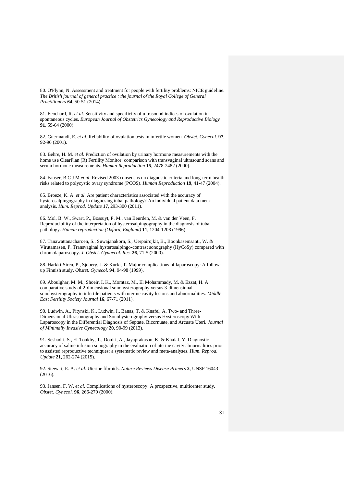80. O'Flynn, N. Assessment and treatment for people with fertility problems: NICE guideline. *The British journal of general practice : the journal of the Royal College of General Practitioners* **64**, 50-51 (2014).

81. Ecochard, R. *et al*. Sensitivity and specificity of ultrasound indices of ovulation in spontaneous cycles. *European Journal of Obstetrics Gynecology and Reproductive Biology* **91**, 59-64 (2000).

82. Guermandi, E. *et al*. Reliability of ovulation tests in infertile women. *Obstet. Gynecol.* **97**, 92-96 (2001).

83. Behre, H. M. *et al*. Prediction of ovulation by urinary hormone measurements with the home use ClearPlan (R) Fertility Monitor: comparison with transvaginal ultrasound scans and serum hormone measurements. *Human Reproduction* **15**, 2478-2482 (2000).

84. Fauser, B C J M *et al*. Revised 2003 consensus on diagnostic criteria and long-term health risks related to polycystic ovary syndrome (PCOS). *Human Reproduction* **19**, 41-47 (2004).

85. Broeze, K. A. *et al*. Are patient characteristics associated with the accuracy of hysterosalpingography in diagnosing tubal pathology? An individual patient data metaanalysis. *Hum. Reprod. Update* **17**, 293-300 (2011).

86. Mol, B. W., Swart, P., Bossuyt, P. M., van Beurden, M. & van der Veen, F. Reproducibility of the interpretation of hysterosalpingography in the diagnosis of tubal pathology. *Human reproduction (Oxford, England)* **11**, 1204-1208 (1996).

87. Tanawattanacharoen, S., Suwajanakorn, S., Uerpairojkit, B., Boonkasemsanti, W. & Virutamasen, P. Transvaginal hysterosalpingo-contrast sonography (HyCoSy) compared with chromolaparoscopy. *J. Obstet. Gynaecol. Res.* **26**, 71-5 (2000).

88. Harkki-Siren, P., Sjoberg, J. & Kurki, T. Major complications of laparoscopy: A followup Finnish study. *Obstet. Gynecol.* **94**, 94-98 (1999).

89. Aboulghar, M. M., Shoeir, I. K., Momtaz, M., El Mohammady, M. & Ezzat, H. A comparative study of 2-dimensional sonohysterography versus 3-dimensional sonohysterography in infertile patients with uterine cavity lesions and abnormalities. *Middle East Fertility Society Journal* **16**, 67-71 (2011).

90. Ludwin, A., Pitynski, K., Ludwin, I., Banas, T. & Knafel, A. Two- and Three-Dimensional Ultrasonography and Sonohysterography versus Hysteroscopy With Laparoscopy in the Differential Diagnosis of Septate, Bicornuate, and Arcuate Uteri. *Journal of Minimally Invasive Gynecology* **20**, 90-99 (2013).

91. Seshadri, S., El-Toukhy, T., Douiri, A., Jayaprakasan, K. & Khalaf, Y. Diagnostic accuracy of saline infusion sonography in the evaluation of uterine cavity abnormalities prior to assisted reproductive techniques: a systematic review and meta-analyses. *Hum. Reprod. Update* **21**, 262-274 (2015).

92. Stewart, E. A. *et al*. Uterine fibroids. *Nature Reviews Disease Primers* **2**, UNSP 16043 (2016).

93. Jansen, F. W. *et al*. Complications of hysteroscopy: A prospective, multicenter study. *Obstet. Gynecol.* **96**, 266-270 (2000).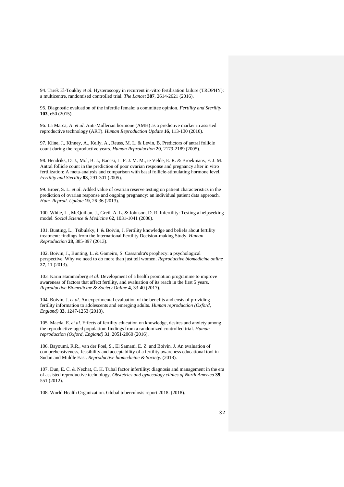94. Tarek El-Toukhy *et al*. Hysteroscopy in recurrent in-vitro fertilisation failure (TROPHY): a multicentre, randomised controlled trial. *The Lancet* **387**, 2614-2621 (2016).

95. Diagnostic evaluation of the infertile female: a committee opinion. *Fertility and Sterility* **103**, e50 (2015).

96. La Marca, A. *et al*. Anti-Müllerian hormone (AMH) as a predictive marker in assisted reproductive technology (ART). *Human Reproduction Update* **16**, 113-130 (2010).

97. Kline, J., Kinney, A., Kelly, A., Reuss, M. L. & Levin, B. Predictors of antral follicle count during the reproductive years. *Human Reproduction* **20**, 2179-2189 (2005).

98. Hendriks, D. J., Mol, B. J., Bancsi, L. F. J. M. M., te Velde, E. R. & Broekmans, F. J. M. Antral follicle count in the prediction of poor ovarian response and pregnancy after in vitro fertilization: A meta-analysis and comparison with basal follicle-stimulating hormone level. *Fertility and Sterility* **83**, 291-301 (2005).

99. Broer, S. L. *et al*. Added value of ovarian reserve testing on patient characteristics in the prediction of ovarian response and ongoing pregnancy: an individual patient data approach. *Hum. Reprod. Update* **19**, 26-36 (2013).

100. White, L., McQuillan, J., Greil, A. L. & Johnson, D. R. Infertility: Testing a helpseeking model. *Social Science & Medicine* **62**, 1031-1041 (2006).

101. Bunting, L., Tsibulsky, I. & Boivin, J. Fertility knowledge and beliefs about fertility treatment: findings from the International Fertility Decision-making Study. *Human Reproduction* **28**, 385-397 (2013).

102. Boivin, J., Bunting, L. & Gameiro, S. Cassandra's prophecy: a psychological perspective. Why we need to do more than just tell women. *Reproductive biomedicine online* **27**, 11 (2013).

103. Karin Hammarberg *et al*. Development of a health promotion programme to improve awareness of factors that affect fertility, and evaluation of its reach in the first 5 years. *Reproductive Biomedicine & Society Online* **4**, 33-40 (2017).

104. Boivin, J. *et al*. An experimental evaluation of the benefits and costs of providing fertility information to adolescents and emerging adults. *Human reproduction (Oxford, England)* **33**, 1247-1253 (2018).

105. Maeda, E. *et al*. Effects of fertility education on knowledge, desires and anxiety among the reproductive-aged population: findings from a randomized controlled trial. *Human reproduction (Oxford, England)* **31**, 2051-2060 (2016).

106. Bayoumi, R.R., van der Poel, S., El Samani, E. Z. and Boivin, J. An evaluation of comprehensiveness, feasibility and acceptability of a fertility awareness educational tool in Sudan and Middle East. *Reproductive biomedicine & Society.* (2018).

107. Dun, E. C. & Nezhat, C. H. Tubal factor infertility: diagnosis and management in the era of assisted reproductive technology. *Obstetrics and gynecology clinics of North America* **39**, 551 (2012).

108. World Health Organization. Global tuberculosis report 2018. (2018).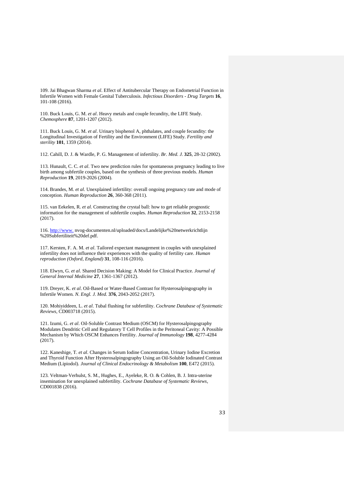109. Jai Bhagwan Sharma *et al*. Effect of Antitubercular Therapy on Endometrial Function in Infertile Women with Female Genital Tuberculosis. *Infectious Disorders - Drug Targets* **16**, 101-108 (2016).

110. Buck Louis, G. M. *et al*. Heavy metals and couple fecundity, the LIFE Study. *Chemosphere* **87**, 1201-1207 (2012).

111. Buck Louis, G. M. *et al*. Urinary bisphenol A, phthalates, and couple fecundity: the Longitudinal Investigation of Fertility and the Environment (LIFE) Study. *Fertility and sterility* **101**, 1359 (2014).

112. Cahill, D. J. & Wardle, P. G. Management of infertility. *Br. Med. J.* **325**, 28-32 (2002).

113. Hunault, C. C. *et al*. Two new prediction rules for spontaneous pregnancy leading to live birth among subfertile couples, based on the synthesis of three previous models. *Human Reproduction* **19**, 2019-2026 (2004).

114. Brandes, M. *et al*. Unexplained infertility: overall ongoing pregnancy rate and mode of conception. *Human Reproduction* **26**, 360-368 (2011).

115. van Eekelen, R. *et al*. Constructing the crystal ball: how to get reliable prognostic information for the management of subfertile couples. *Human Reproduction* **32**, 2153-2158 (2017).

116. [http://www.](http://www./) nvog-documenten.nl/uploaded/docs/Landelijke%20netwerkrichtlijn %20Subfertiliteit%20def.pdf.

117. Kersten, F. A. M. *et al*. Tailored expectant management in couples with unexplained infertility does not influence their experiences with the quality of fertility care. *Human reproduction (Oxford, England)* **31**, 108-116 (2016).

118. Elwyn, G. *et al*. Shared Decision Making: A Model for Clinical Practice. *Journal of General Internal Medicine* **27**, 1361-1367 (2012).

119. Dreyer, K. *et al*. Oil-Based or Water-Based Contrast for Hysterosalpingography in Infertile Women. *N. Engl. J. Med.* **376**, 2043-2052 (2017).

120. Mohiyiddeen, L. *et al*. Tubal flushing for subfertility. *Cochrane Database of Systematic Reviews*, CD003718 (2015).

121. Izumi, G. *et al*. Oil-Soluble Contrast Medium (OSCM) for Hysterosalpingography Modulates Dendritic Cell and Regulatory T Cell Profiles in the Peritoneal Cavity: A Possible Mechanism by Which OSCM Enhances Fertility. *Journal of Immunology* **198**, 4277-4284 (2017).

122. Kaneshige, T. *et al*. Changes in Serum Iodine Concentration, Urinary Iodine Excretion and Thyroid Function After Hysterosalpingography Using an Oil-Soluble Iodinated Contrast Medium (Lipiodol). *Journal of Clinical Endocrinology & Metabolism* **100**, E472 (2015).

123. Veltman-Verhulst, S. M., Hughes, E., Ayeleke, R. O. & Cohlen, B. J. Intra-uterine insemination for unexplained subfertility. *Cochrane Database of Systematic Reviews*, CD001838 (2016).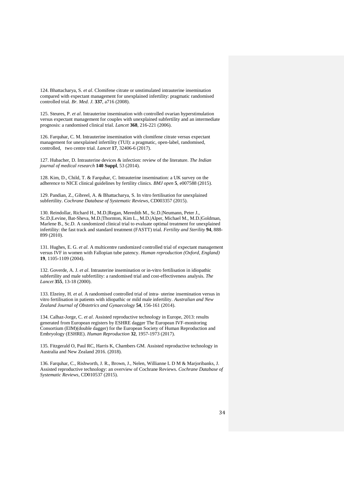124. Bhattacharya, S. *et al*. Clomifene citrate or unstimulated intrauterine insemination compared with expectant management for unexplained infertility: pragmatic randomised controlled trial. *Br. Med. J.* **337**, a716 (2008).

125. Steures, P. *et al*. Intrauterine insemination with controlled ovarian hyperstimulation versus expectant management for couples with unexplained subfertility and an intermediate prognosis: a randomised clinical trial. *Lancet* **368**, 216-221 (2006).

126. Farquhar, C. M. Intrauterine insemination with clomifene citrate versus expectant management for unexplained infertility (TUI): a pragmatic, open-label, randomised, controlled, two centre trial. *Lancet* **17**, 32406-6 (2017).

127. Hubacher, D. Intrauterine devices & infection: review of the literature. *The Indian journal of medical research* **140 Suppl**, 53 (2014).

128. Kim, D., Child, T. & Farquhar, C. Intrauterine insemination: a UK survey on the adherence to NICE clinical guidelines by fertility clinics. *BMJ open* **5**, e007588 (2015).

129. Pandian, Z., Gibreel, A. & Bhattacharya, S. In vitro fertilisation for unexplained subfertility. *Cochrane Database of Systematic Reviews*, CD003357 (2015).

130. Reindollar, Richard H., M.D.|Regan, Meredith M., Sc.D.|Neumann, Peter J., Sc.D.|Levine, Bat-Sheva, M.D.|Thornton, Kim L., M.D.|Alper, Michael M., M.D.|Goldman, Marlene B., Sc.D. A randomized clinical trial to evaluate optimal treatment for unexplained infertility: the fast track and standard treatment (FASTT) trial. *Fertility and Sterility* **94**, 888- 899 (2010).

131. Hughes, E. G. *et al*. A multicentre randomized controlled trial of expectant management versus IVF in women with Fallopian tube patency. *Human reproduction (Oxford, England)* **19**, 1105-1109 (2004).

132. Goverde, A. J. *et al*. Intrauterine insemination or in-vitro fertilisation in idiopathic subfertility and male subfertility: a randomised trial and cost-effectiveness analysis. *The Lancet* **355**, 13-18 (2000).

133. Elzeiny, H. *et al*. A randomised controlled trial of intra‐ uterine insemination versus in vitro fertilisation in patients with idiopathic or mild male infertility. *Australian and New Zealand Journal of Obstetrics and Gynaecology* **54**, 156-161 (2014).

134. Calhaz-Jorge, C. *et al*. Assisted reproductive technology in Europe, 2013: results generated from European registers by ESHRE dagger The European IVF-monitoring Consortium (EIM)(double dagger) for the European Society of Human Reproduction and Embryology (ESHRE). *Human Reproduction* **32**, 1957-1973 (2017).

135. Fitzgerald O, Paul RC, Harris K, Chambers GM. Assisted reproductive technology in Australia and New Zealand 2016. (2018).

136. Farquhar, C., Rishworth, J. R., Brown, J., Nelen, Willianne L D M & Marjoribanks, J. Assisted reproductive technology: an overview of Cochrane Reviews. *Cochrane Database of Systematic Reviews*, CD010537 (2015).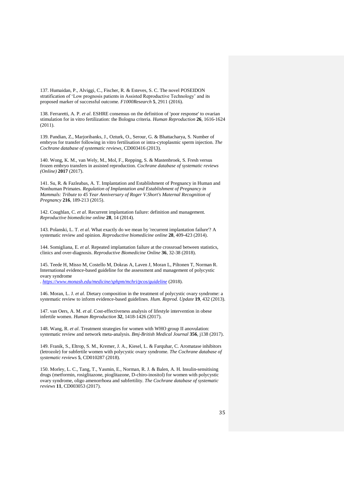137. Humaidan, P., Alviggi, C., Fischer, R. & Esteves, S. C. The novel POSEIDON stratification of 'Low prognosis patients in Assisted Reproductive Technology' and its proposed marker of successful outcome. *F1000Research* **5**, 2911 (2016).

138. Ferraretti, A. P. *et al*. ESHRE consensus on the definition of 'poor response' to ovarian stimulation for in vitro fertilization: the Bologna criteria. *Human Reproduction* **26**, 1616-1624 (2011).

139. Pandian, Z., Marjoribanks, J., Ozturk, O., Serour, G. & Bhattacharya, S. Number of embryos for transfer following in vitro fertilisation or intra-cytoplasmic sperm injection. *The Cochrane database of systematic reviews*, CD003416 (2013).

140. Wong, K. M., van Wely, M., Mol, F., Repping, S. & Mastenbroek, S. Fresh versus frozen embryo transfers in assisted reproduction. *Cochrane database of systematic reviews (Online)* **2017** (2017).

141. Su, R. & Fazleabas, A. T. Implantation and Establishment of Pregnancy in Human and Nonhuman Primates. *Regulation of Implantation and Establishment of Pregnancy in Mammals: Tribute to 45 Year Anniversary of Roger V.Short's Maternal Recognition of Pregnancy* **216**, 189-213 (2015).

142. Coughlan, C. *et al*. Recurrent implantation failure: definition and management. *Reproductive biomedicine online* **28**, 14 (2014).

143. Polanski, L. T. *et al*. What exactly do we mean by 'recurrent implantation failure'? A systematic review and opinion. *Reproductive biomedicine online* **28**, 409-423 (2014).

144. Somigliana, E. *et al*. Repeated implantation failure at the crossroad between statistics, clinics and over-diagnosis. *Reproductive Biomedicine Online* **36**, 32-38 (2018).

145. Teede H, Misso M, Costello M, Dokras A, Laven J, Moran L, Piltonen T, Norman R. International evidence-based guideline for the assessment and management of polycystic ovary syndrome

. *<https://www.monash.edu/medicine/sphpm/mchri/pcos/guideline>* (2018).

146. Moran, L. J. *et al*. Dietary composition in the treatment of polycystic ovary syndrome: a systematic review to inform evidence-based guidelines. *Hum. Reprod. Update* **19**, 432 (2013).

147. van Oers, A. M. *et al*. Cost-effectiveness analysis of lifestyle intervention in obese infertile women. *Human Reproduction* **32**, 1418-1426 (2017).

148. Wang, R. *et al*. Treatment strategies for women with WHO group II anovulation: systematic review and network meta-analysis. *Bmj-British Medical Journal* **356**, j138 (2017).

149. Franik, S., Eltrop, S. M., Kremer, J. A., Kiesel, L. & Farquhar, C. Aromatase inhibitors (letrozole) for subfertile women with polycystic ovary syndrome. *The Cochrane database of systematic reviews* **5**, CD010287 (2018).

150. Morley, L. C., Tang, T., Yasmin, E., Norman, R. J. & Balen, A. H. Insulin-sensitising drugs (metformin, rosiglitazone, pioglitazone, D-chiro-inositol) for women with polycystic ovary syndrome, oligo amenorrhoea and subfertility. *The Cochrane database of systematic reviews* **11**, CD003053 (2017).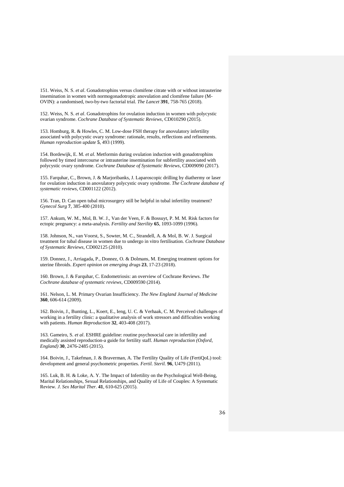151. Weiss, N. S. *et al*. Gonadotrophins versus clomifene citrate with or without intrauterine insemination in women with normogonadotropic anovulation and clomifene failure (M-OVIN): a randomised, two-by-two factorial trial. *The Lancet* **391**, 758-765 (2018).

152. Weiss, N. S. *et al*. Gonadotrophins for ovulation induction in women with polycystic ovarian syndrome. *Cochrane Database of Systematic Reviews*, CD010290 (2015).

153. Homburg, R. & Howles, C. M. Low-dose FSH therapy for anovulatory infertility associated with polycystic ovary syndrome: rationale, results, reflections and refinements. *Human reproduction update* **5**, 493 (1999).

154. Bordewijk, E. M. *et al*. Metformin during ovulation induction with gonadotrophins followed by timed intercourse or intrauterine insemination for subfertility associated with polycystic ovary syndrome. *Cochrane Database of Systematic Reviews*, CD009090 (2017).

155. Farquhar, C., Brown, J. & Marjoribanks, J. Laparoscopic drilling by diathermy or laser for ovulation induction in anovulatory polycystic ovary syndrome. *The Cochrane database of systematic reviews*, CD001122 (2012).

156. Tran, D. Can open tubal microsurgery still be helpful in tubal infertility treatment? *Gynecol Surg* **7**, 385-400 (2010).

157. Ankum, W. M., Mol, B. W. J., Van der Veen, F. & Bossuyt, P. M. M. Risk factors for ectopic pregnancy: a meta-analysis. *Fertility and Sterility* **65**, 1093-1099 (1996).

158. Johnson, N., van Voorst, S., Sowter, M. C., Strandell, A. & Mol, B. W. J. Surgical treatment for tubal disease in women due to undergo in vitro fertilisation. *Cochrane Database of Systematic Reviews*, CD002125 (2010).

159. Donnez, J., Arriagada, P., Donnez, O. & Dolmans, M. Emerging treatment options for uterine fibroids. *Expert opinion on emerging drugs* **23**, 17-23 (2018).

160. Brown, J. & Farquhar, C. Endometriosis: an overview of Cochrane Reviews. *The Cochrane database of systematic reviews*, CD009590 (2014).

161. Nelson, L. M. Primary Ovarian Insufficiency. *The New England Journal of Medicine* **360**, 606-614 (2009).

162. Boivin, J., Bunting, L., Koert, E., Ieng, U. C. & Verhaak, C. M. Perceived challenges of working in a fertility clinic: a qualitative analysis of work stressors and difficulties working with patients. *Human Reproduction* **32**, 403-408 (2017).

163. Gameiro, S. *et al*. ESHRE guideline: routine psychosocial care in infertility and medically assisted reproduction-a guide for fertility staff. *Human reproduction (Oxford, England)* **30**, 2476-2485 (2015).

164. Boivin, J., Takefman, J. & Braverman, A. The Fertility Quality of Life (FertiQoL) tool: development and general psychometric properties. *Fertil. Steril.* **96**, U479 (2011).

165. Luk, B. H. & Loke, A. Y. The Impact of Infertility on the Psychological Well-Being, Marital Relationships, Sexual Relationships, and Quality of Life of Couples: A Systematic Review. *J. Sex Marital Ther.* **41**, 610-625 (2015).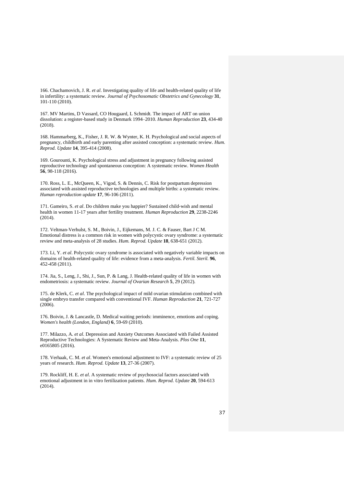166. Chachamovich, J. R. *et al*. Investigating quality of life and health-related quality of life in infertility: a systematic review. *Journal of Psychosomatic Obstetrics and Gynecology* **31**, 101-110 (2010).

167. MV Martins, D Vassard, CO Hougaard, L Schmidt. The impact of ART on union dissolution: a register-based study in Denmark 1994–2010. *Human Reproduction* **23**, 434-40 (2018).

168. Hammarberg, K., Fisher, J. R. W. & Wynter, K. H. Psychological and social aspects of pregnancy, childbirth and early parenting after assisted conception: a systematic review. *Hum. Reprod. Update* **14**, 395-414 (2008).

169. Gourounti, K. Psychological stress and adjustment in pregnancy following assisted reproductive technology and spontaneous conception: A systematic review. *Women Health* **56**, 98-118 (2016).

170. Ross, L. E., McQueen, K., Vigod, S. & Dennis, C. Risk for postpartum depression associated with assisted reproductive technologies and multiple births: a systematic review. *Human reproduction update* **17**, 96-106 (2011).

171. Gameiro, S. *et al*. Do children make you happier? Sustained child-wish and mental health in women 11-17 years after fertility treatment. *Human Reproduction* **29**, 2238-2246 (2014).

172. Veltman-Verhulst, S. M., Boivin, J., Eijkemans, M. J. C. & Fauser, Bart J C M. Emotional distress is a common risk in women with polycystic ovary syndrome: a systematic review and meta-analysis of 28 studies. *Hum. Reprod. Update* **18**, 638-651 (2012).

173. Li, Y. *et al*. Polycystic ovary syndrome is associated with negatively variable impacts on domains of health-related quality of life: evidence from a meta-analysis. *Fertil. Steril.* **96**, 452-458 (2011).

174. Jia, S., Leng, J., Shi, J., Sun, P. & Lang, J. Health-related quality of life in women with endometriosis: a systematic review. *Journal of Ovarian Research* **5**, 29 (2012).

175. de Klerk, C. *et al*. The psychological impact of mild ovarian stimulation combined with single embryo transfer compared with conventional IVF. *Human Reproduction* **21**, 721-727 (2006).

176. Boivin, J. & Lancastle, D. Medical waiting periods: imminence, emotions and coping. *Women's health (London, England)* **6**, 59-69 (2010).

177. Milazzo, A. *et al*. Depression and Anxiety Outcomes Associated with Failed Assisted Reproductive Technologies: A Systematic Review and Meta-Analysis. *Plos One* **11**, e0165805 (2016).

178. Verhaak, C. M. *et al*. Women's emotional adjustment to IVF: a systematic review of 25 years of research. *Hum. Reprod. Update* **13**, 27-36 (2007).

179. Rockliff, H. E. *et al*. A systematic review of psychosocial factors associated with emotional adjustment in in vitro fertilization patients. *Hum. Reprod. Update* **20**, 594-613 (2014).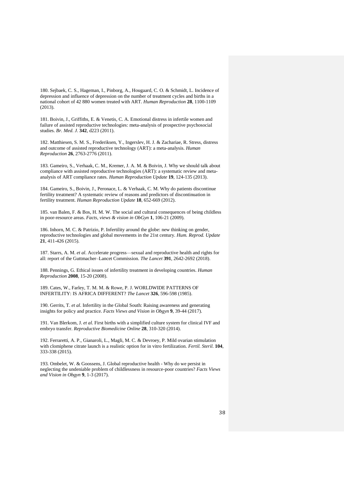180. Sejbaek, C. S., Hageman, I., Pinborg, A., Hougaard, C. O. & Schmidt, L. Incidence of depression and influence of depression on the number of treatment cycles and births in a national cohort of 42 880 women treated with ART. *Human Reproduction* **28**, 1100-1109 (2013).

181. Boivin, J., Griffiths, E. & Venetis, C. A. Emotional distress in infertile women and failure of assisted reproductive technologies: meta-analysis of prospective psychosocial studies. *Br. Med. J.* **342**, d223 (2011).

182. Matthiesen, S. M. S., Frederiksen, Y., Ingerslev, H. J. & Zachariae, R. Stress, distress and outcome of assisted reproductive technology (ART): a meta-analysis. *Human Reproduction* **26**, 2763-2776 (2011).

183. Gameiro, S., Verhaak, C. M., Kremer, J. A. M. & Boivin, J. Why we should talk about compliance with assisted reproductive technologies (ART): a systematic review and metaanalysis of ART compliance rates. *Human Reproduction Update* **19**, 124-135 (2013).

184. Gameiro, S., Boivin, J., Peronace, L. & Verhaak, C. M. Why do patients discontinue fertility treatment? A systematic review of reasons and predictors of discontinuation in fertility treatment. *Human Reproduction Update* **18**, 652-669 (2012).

185. van Balen, F. & Bos, H. M. W. The social and cultural consequences of being childless in poor-resource areas. *Facts, views & vision in ObGyn* **1**, 106-21 (2009).

186. Inhorn, M. C. & Patrizio, P. Infertility around the globe: new thinking on gender, reproductive technologies and global movements in the 21st century. *Hum. Reprod. Update* **21**, 411-426 (2015).

187. Starrs, A. M. *et al*. Accelerate progress—sexual and reproductive health and rights for all: report of the Guttmacher–Lancet Commission. *The Lancet* **391**, 2642-2692 (2018).

188. Pennings, G. Ethical issues of infertility treatment in developing countries. *Human Reproduction* **2008**, 15-20 (2008).

189. Cates, W., Farley, T. M. M. & Rowe, P. J. WORLDWIDE PATTERNS OF INFERTILITY: IS AFRICA DIFFERENT? *The Lancet* **326**, 596-598 (1985).

190. Gerrits, T. *et al*. Infertility in the Global South: Raising awareness and generating insights for policy and practice. *Facts Views and Vision in Obgyn* **9**, 39-44 (2017).

191. Van Blerkom, J. *et al*. First births with a simplified culture system for clinical IVF and embryo transfer. *Reproductive Biomedicine Online* **28**, 310-320 (2014).

192. Ferraretti, A. P., Gianaroli, L., Magli, M. C. & Devroey, P. Mild ovarian stimulation with clomiphene citrate launch is a realistic option for in vitro fertilization. *Fertil. Steril.* **104**, 333-338 (2015).

193. Ombelet, W. & Goossens, J. Global reproductive health - Why do we persist in neglecting the undeniable problem of childlessness in resource-poor countries? *Facts Views and Vision in Obgyn* **9**, 1-3 (2017).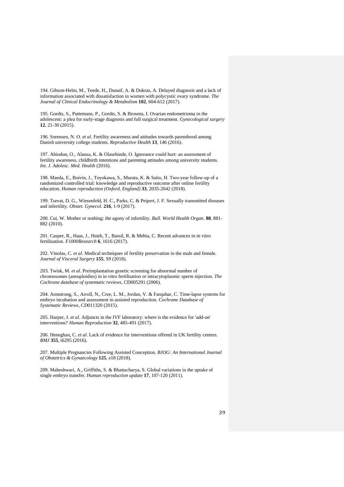194. Gibson-Helm, M., Teede, H., Dunaif, A. & Dokras, A. Delayed diagnosis and a lack of information associated with dissatisfaction in women with polycystic ovary syndrome. *The Journal of Clinical Endocrinology & Metabolism* **102**, 604-612 (2017).

195. Gordts, S., Puttemans, P., Gordts, S. & Brosens, I. Ovarian endometrioma in the adolescent: a plea for early-stage diagnosis and full surgical treatment. *Gynecological surgery* **12**, 21-30 (2015).

196. Sorensen, N. O. *et al*. Fertility awareness and attitudes towards parenthood among Danish university college students. *Reproductive Health* **13**, 146 (2016).

197. Abiodun, O., Alausa, K. & Olasehinde, O. Ignorance could hurt: an assessment of fertility awareness, childbirth intentions and parenting attitudes among university students. *Int. J. Adolesc. Med. Health* (2016).

198. Maeda, E., Boivin, J., Toyokawa, S., Murata, K. & Saito, H. Two-year follow-up of a randomized controlled trial: knowledge and reproductive outcome after online fertility education. *Human reproduction (Oxford, England)* **33**, 2035-2042 (2018).

199. Tsevat, D. G., Wiesenfeld, H. C., Parks, C. & Peipert, J. F. Sexually transmitted diseases and infertility. *Obstet. Gynecol.* **216**, 1-9 (2017).

200. Cui, W. Mother or nothing: the agony of infertility. *Bull. World Health Organ.* **88**, 881- 882 (2010).

201. Casper, R., Haas, J., Hsieh, T., Bassil, R. & Mehta, C. Recent advances in in vitro fertilization. *F1000Research* **6**, 1616 (2017).

202. Vinolas, C. *et al*. Medical techniques of fertility preservation in the male and female. *Journal of Visceral Surgery* **155**, S9 (2018).

203. Twisk, M. *et al*. Preimplantation genetic screening for abnormal number of chromosomes (aneuploidies) in in vitro fertilisation or intracytoplasmic sperm injection. *The Cochrane database of systematic reviews*, CD005291 (2006).

204. Armstrong, S., Arroll, N., Cree, L. M., Jordan, V. & Farquhar, C. Time-lapse systems for embryo incubation and assessment in assisted reproduction. *Cochrane Database of Systematic Reviews*, CD011320 (2015).

205. Harper, J. *et al*. Adjuncts in the IVF laboratory: where is the evidence for 'add-on' interventions? *Human Reproduction* **32**, 485-491 (2017).

206. Heneghan, C. *et al*. Lack of evidence for interventions offered in UK fertility centres. *BMJ* **355**, i6295 (2016).

207. Multiple Pregnancies Following Assisted Conception. *BJOG: An International Journal of Obstetrics & Gynaecology* **125**, e18 (2018).

209. Maheshwari, A., Griffiths, S. & Bhattacharya, S. Global variations in the uptake of single embryo transfer. *Human reproduction update* **17**, 107-120 (2011).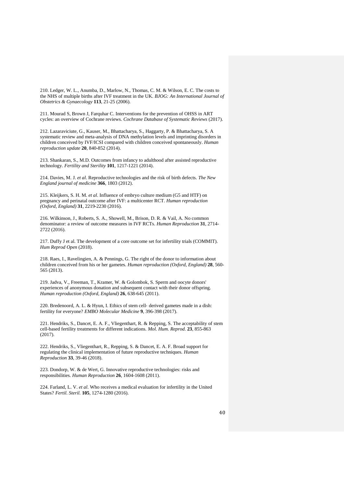210. Ledger, W. L., Anumba, D., Marlow, N., Thomas, C. M. & Wilson, E. C. The costs to the NHS of multiple births after IVF treatment in the UK. *BJOG: An International Journal of Obstetrics & Gynaecology* **113**, 21-25 (2006).

211. Mourad S, Brown J, Farquhar C. Interventions for the prevention of OHSS in ART cycles: an overview of Cochrane reviews. *Cochrane Database of Systematic Reviews* (2017).

212. Lazaraviciute, G., Kauser, M., Bhattacharya, S., Haggarty, P. & Bhattacharya, S. A systematic review and meta-analysis of DNA methylation levels and imprinting disorders in children conceived by IVF/ICSI compared with children conceived spontaneously. *Human reproduction update* **20**, 840-852 (2014).

213. Shankaran, S., M.D. Outcomes from infancy to adulthood after assisted reproductive technology. *Fertility and Sterility* **101**, 1217-1221 (2014).

214. Davies, M. J. *et al*. Reproductive technologies and the risk of birth defects. *The New England journal of medicine* **366**, 1803 (2012).

215. Kleijkers, S. H. M. *et al*. Influence of embryo culture medium (G5 and HTF) on pregnancy and perinatal outcome after IVF: a multicenter RCT. *Human reproduction (Oxford, England)* **31**, 2219-2230 (2016).

216. Wilkinson, J., Roberts, S. A., Showell, M., Brison, D. R. & Vail, A. No common denominator: a review of outcome measures in IVF RCTs. *Human Reproduction* **31**, 2714- 2722 (2016).

217. Duffy J et al. The development of a core outcome set for infertility trials (COMMIT). *Hum Reprod Open* (2018).

218. Raes, I., Ravelingien, A. & Pennings, G. The right of the donor to information about children conceived from his or her gametes. *Human reproduction (Oxford, England)* **28**, 560- 565 (2013).

219. Jadva, V., Freeman, T., Kramer, W. & Golombok, S. Sperm and oocyte donors' experiences of anonymous donation and subsequent contact with their donor offspring. *Human reproduction (Oxford, England)* **26**, 638-645 (2011).

220. Bredenoord, A. L. & Hyun, I. Ethics of stem cell‐ derived gametes made in a dish: fertility for everyone? *EMBO Molecular Medicine* **9**, 396-398 (2017).

221. Hendriks, S., Dancet, E. A. F., Vliegenthart, R. & Repping, S. The acceptability of stem cell-based fertility treatments for different indications. *Mol. Hum. Reprod.* **23**, 855-863 (2017).

222. Hendriks, S., Vliegenthart, R., Repping, S. & Dancet, E. A. F. Broad support for regulating the clinical implementation of future reproductive techniques. *Human Reproduction* **33**, 39-46 (2018).

223. Dondorp, W. & de Wert, G. Innovative reproductive technologies: risks and responsibilities. *Human Reproduction* **26**, 1604-1608 (2011).

224. Farland, L. V. *et al*. Who receives a medical evaluation for infertility in the United States? *Fertil. Steril.* **105**, 1274-1280 (2016).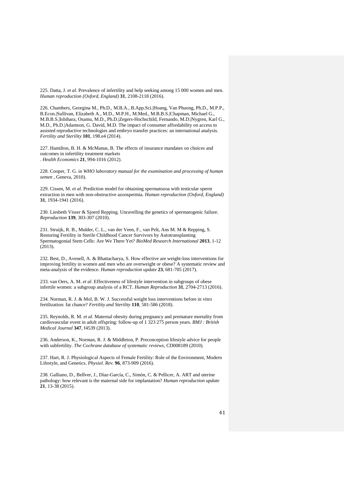225. Datta, J. *et al*. Prevalence of infertility and help seeking among 15 000 women and men. *Human reproduction (Oxford, England)* **31**, 2108-2118 (2016).

226. Chambers, Georgina M., Ph.D., M.B.A., B.App.Sci.|Hoang, Van Phuong, Ph.D., M.P.P., B.Econ.|Sullivan, Elizabeth A., M.D., M.P.H., M.Med., M.B.B.S.|Chapman, Michael G., M.B.B.S.|Ishihara, Osamu, M.D., Ph.D.|Zegers-Hochschild, Fernando, M.D.|Nygren, Karl G., M.D., Ph.D.|Adamson, G. David, M.D. The impact of consumer affordability on access to assisted reproductive technologies and embryo transfer practices: an international analysis. *Fertility and Sterility* **101**, 198.e4 (2014).

227. Hamilton, B. H. & McManus, B. The effects of insurance mandates on choices and outcomes in infertility treatment markets . *Health Economics* **21**, 994-1016 (2012).

228. Cooper, T. G. in *WHO laboratory manual for the examination and processing of human semen* , Geneva, 2010).

229. Cissen, M. *et al*. Prediction model for obtaining spermatozoa with testicular sperm extraction in men with non-obstructive azoospermia. *Human reproduction (Oxford, England)* **31**, 1934-1941 (2016).

230. Liesbeth Visser & Sjoerd Repping. Unravelling the genetics of spermatogenic failure. *Reproduction* **139**, 303-307 (2010).

231. Struijk, R. B., Mulder, C. L., van der Veen, F., van Pelt, Ans M. M & Repping, S. Restoring Fertility in Sterile Childhood Cancer Survivors by Autotransplanting Spermatogonial Stem Cells: Are We There Yet? *BioMed Research International* **2013**, 1-12 (2013).

232. Best, D., Avenell, A. & Bhattacharya, S. How effective are weight-loss interventions for improving fertility in women and men who are overweight or obese? A systematic review and meta-analysis of the evidence. *Human reproduction update* **23**, 681-705 (2017).

233. van Oers, A. M. *et al*. Effectiveness of lifestyle intervention in subgroups of obese infertile women: a subgroup analysis of a RCT. *Human Reproduction* **31**, 2704-2713 (2016).

234. Norman, R. J. & Mol, B. W. J. Successful weight loss interventions before in vitro fertilization: fat chance? *Fertility and Sterility* **110**, 581-586 (2018).

235. Reynolds, R. M. *et al*. Maternal obesity during pregnancy and premature mortality from cardiovascular event in adult offspring: follow-up of 1 323 275 person years. *BMJ : British Medical Journal* **347**, f4539 (2013).

236. Anderson, K., Norman, R. J. & Middleton, P. Preconception lifestyle advice for people with subfertility. *The Cochrane database of systematic reviews*, CD008189 (2010).

237. Hart, R. J. Physiological Aspects of Female Fertility: Role of the Environment, Modern Lifestyle, and Genetics. *Physiol. Rev.* **96**, 873-909 (2016).

238. Galliano, D., Bellver, J., Díaz-García, C., Simón, C. & Pellicer, A. ART and uterine pathology: how relevant is the maternal side for implantation? *Human reproduction update* **21**, 13-38 (2015).